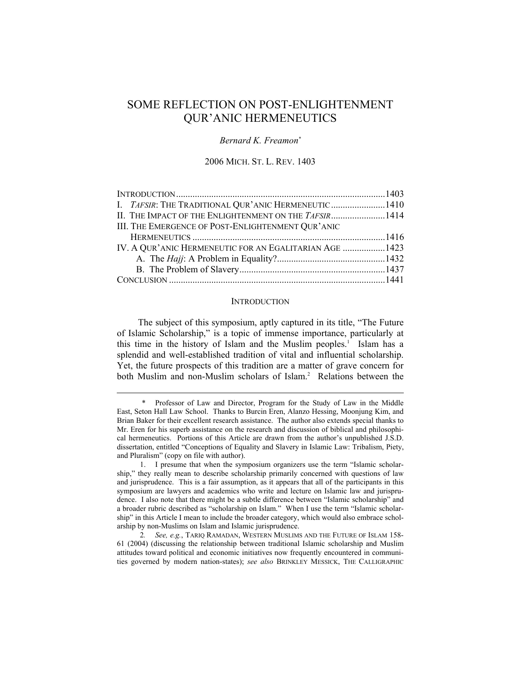# SOME REFLECTION ON POST-ENLIGHTENMENT QUR'ANIC HERMENEUTICS

## *Bernard K. Freamon\**

## 2006 MICH. ST. L. REV. 1403

| I. TAFSIR: THE TRADITIONAL QUR'ANIC HERMENEUTIC 1410    |  |
|---------------------------------------------------------|--|
| II. THE IMPACT OF THE ENLIGHTENMENT ON THE TAFSIR 1414  |  |
| III. THE EMERGENCE OF POST-ENLIGHTENMENT QUR'ANIC       |  |
|                                                         |  |
| IV. A QUR'ANIC HERMENEUTIC FOR AN EGALITARIAN AGE  1423 |  |
|                                                         |  |
|                                                         |  |
|                                                         |  |

## **INTRODUCTION**

The subject of this symposium, aptly captured in its title, "The Future of Islamic Scholarship," is a topic of immense importance, particularly at this time in the history of Islam and the Muslim peoples.<sup>1</sup> Islam has a splendid and well-established tradition of vital and influential scholarship. Yet, the future prospects of this tradition are a matter of grave concern for both Muslim and non-Muslim scholars of Islam.<sup>2</sup> Relations between the

<sup>\*</sup> Professor of Law and Director, Program for the Study of Law in the Middle East, Seton Hall Law School. Thanks to Burcin Eren, Alanzo Hessing, Moonjung Kim, and Brian Baker for their excellent research assistance. The author also extends special thanks to Mr. Eren for his superb assistance on the research and discussion of biblical and philosophical hermeneutics. Portions of this Article are drawn from the author's unpublished J.S.D. dissertation, entitled "Conceptions of Equality and Slavery in Islamic Law: Tribalism, Piety, and Pluralism" (copy on file with author).

 <sup>1.</sup> I presume that when the symposium organizers use the term "Islamic scholarship," they really mean to describe scholarship primarily concerned with questions of law and jurisprudence. This is a fair assumption, as it appears that all of the participants in this symposium are lawyers and academics who write and lecture on Islamic law and jurisprudence. I also note that there might be a subtle difference between "Islamic scholarship" and a broader rubric described as "scholarship on Islam." When I use the term "Islamic scholarship" in this Article I mean to include the broader category, which would also embrace scholarship by non-Muslims on Islam and Islamic jurisprudence.

 <sup>2</sup>*. See, e.g.*, TARIQ RAMADAN, WESTERN MUSLIMS AND THE FUTURE OF ISLAM 158- 61 (2004) (discussing the relationship between traditional Islamic scholarship and Muslim attitudes toward political and economic initiatives now frequently encountered in communities governed by modern nation-states); *see also* BRINKLEY MESSICK, THE CALLIGRAPHIC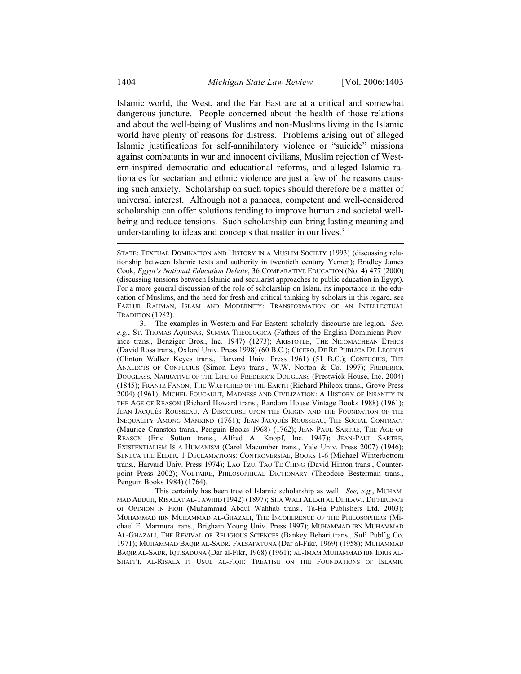Islamic world, the West, and the Far East are at a critical and somewhat dangerous juncture. People concerned about the health of those relations and about the well-being of Muslims and non-Muslims living in the Islamic world have plenty of reasons for distress. Problems arising out of alleged Islamic justifications for self-annihilatory violence or "suicide" missions against combatants in war and innocent civilians, Muslim rejection of Western-inspired democratic and educational reforms, and alleged Islamic rationales for sectarian and ethnic violence are just a few of the reasons causing such anxiety. Scholarship on such topics should therefore be a matter of universal interest. Although not a panacea, competent and well-considered scholarship can offer solutions tending to improve human and societal wellbeing and reduce tensions. Such scholarship can bring lasting meaning and understanding to ideas and concepts that matter in our lives.<sup>3</sup>

 3. The examples in Western and Far Eastern scholarly discourse are legion. *See, e.g.*, ST. THOMAS AQUINAS, SUMMA THEOLOGICA (Fathers of the English Dominican Province trans., Benziger Bros., Inc. 1947) (1273); ARISTOTLE, THE NICOMACHEAN ETHICS (David Ross trans., Oxford Univ. Press 1998) (60 B.C.); CICERO, DE RE PUBLICA DE LEGIBUS (Clinton Walker Keyes trans., Harvard Univ. Press 1961) (51 B.C.); CONFUCIUS, THE ANALECTS OF CONFUCIUS (Simon Leys trans., W.W. Norton & Co. 1997); FREDERICK DOUGLASS, NARRATIVE OF THE LIFE OF FREDERICK DOUGLASS (Prestwick House, Inc. 2004) (1845); FRANTZ FANON, THE WRETCHED OF THE EARTH (Richard Philcox trans., Grove Press 2004) (1961); MICHEL FOUCAULT, MADNESS AND CIVILIZATION: A HISTORY OF INSANITY IN THE AGE OF REASON (Richard Howard trans., Random House Vintage Books 1988) (1961); JEAN-JACQUÉS ROUSSEAU, A DISCOURSE UPON THE ORIGIN AND THE FOUNDATION OF THE INEQUALITY AMONG MANKIND (1761); JEAN-JACQUÉS ROUSSEAU, THE SOCIAL CONTRACT (Maurice Cranston trans., Penguin Books 1968) (1762); JEAN-PAUL SARTRE, THE AGE OF REASON (Eric Sutton trans., Alfred A. Knopf, Inc. 1947); JEAN-PAUL SARTRE, EXISTENTIALISM IS A HUMANISM (Carol Macomber trans., Yale Univ. Press 2007) (1946); SENECA THE ELDER, 1 DECLAMATIONS: CONTROVERSIAE, BOOKS 1-6 (Michael Winterbottom trans., Harvard Univ. Press 1974); LAO TZU, TAO TE CHING (David Hinton trans., Counterpoint Press 2002); VOLTAIRE, PHILOSOPHICAL DICTIONARY (Theodore Besterman trans., Penguin Books 1984) (1764).

 This certainly has been true of Islamic scholarship as well. *See, e.g.*, MUHAM-MAD ABDUH, RISALAT AL-TAWHID (1942) (1897); SHA WALI ALLAH AL DIHLAWI, DIFFERENCE OF OPINION IN FIQH (Muhammad Abdul Wahhab trans., Ta-Ha Publishers Ltd. 2003); MUHAMMAD IBN MUHAMMAD AL-GHAZALI, THE INCOHERENCE OF THE PHILOSOPHERS (Michael E. Marmura trans., Brigham Young Univ. Press 1997); MUHAMMAD IBN MUHAMMAD AL-GHAZALI, THE REVIVAL OF RELIGIOUS SCIENCES (Bankey Behari trans., Sufi Publ'g Co. 1971); MUHAMMAD BAQIR AL-SADR, FALSAFATUNA (Dar al-Fikr, 1969) (1958); MUHAMMAD BAQIR AL-SADR, IQTISADUNA (Dar al-Fikr, 1968) (1961); AL-IMAM MUHAMMAD IBN IDRIS AL-SHAFI'I, AL-RISALA FI USUL AL-FIQH: TREATISE ON THE FOUNDATIONS OF ISLAMIC

STATE: TEXTUAL DOMINATION AND HISTORY IN A MUSLIM SOCIETY (1993) (discussing relationship between Islamic texts and authority in twentieth century Yemen); Bradley James Cook, *Egypt's National Education Debate*, 36 COMPARATIVE EDUCATION (No. 4) 477 (2000) (discussing tensions between Islamic and secularist approaches to public education in Egypt). For a more general discussion of the role of scholarship on Islam, its importance in the education of Muslims, and the need for fresh and critical thinking by scholars in this regard, see FAZLUR RAHMAN, ISLAM AND MODERNITY: TRANSFORMATION OF AN INTELLECTUAL TRADITION (1982).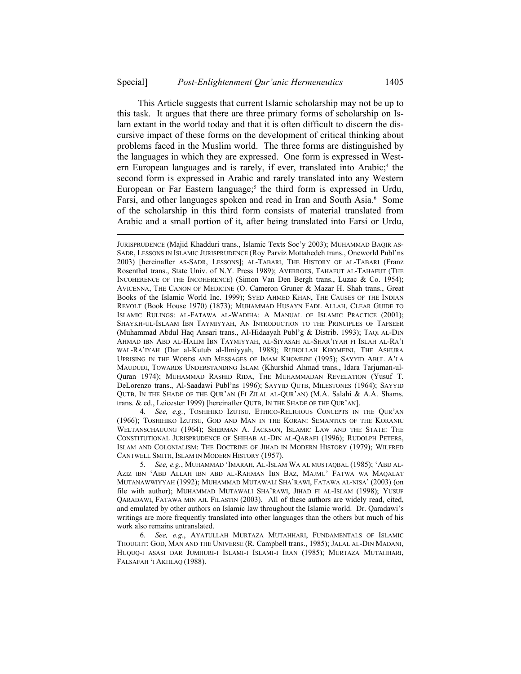This Article suggests that current Islamic scholarship may not be up to this task. It argues that there are three primary forms of scholarship on Islam extant in the world today and that it is often difficult to discern the discursive impact of these forms on the development of critical thinking about problems faced in the Muslim world. The three forms are distinguished by the languages in which they are expressed. One form is expressed in Western European languages and is rarely, if ever, translated into Arabic;<sup>4</sup> the second form is expressed in Arabic and rarely translated into any Western European or Far Eastern language;<sup>5</sup> the third form is expressed in Urdu, Farsi, and other languages spoken and read in Iran and South Asia.<sup>6</sup> Some of the scholarship in this third form consists of material translated from Arabic and a small portion of it, after being translated into Farsi or Urdu,

 4*. See, e.g.*, TOSHIHIKO IZUTSU, ETHICO-RELIGIOUS CONCEPTS IN THE QUR'AN (1966); TOSHIHIKO IZUTSU, GOD AND MAN IN THE KORAN: SEMANTICS OF THE KORANIC WELTANSCHAUUNG (1964); SHERMAN A. JACKSON, ISLAMIC LAW AND THE STATE: THE CONSTITUTIONAL JURISPRUDENCE OF SHIHAB AL-DIN AL-QARAFI (1996); RUDOLPH PETERS, ISLAM AND COLONIALISM: THE DOCTRINE OF JIHAD IN MODERN HISTORY (1979); WILFRED CANTWELL SMITH, ISLAM IN MODERN HISTORY (1957).

 5*. See, e.g.*, MUHAMMAD 'IMARAH, AL-ISLAM WA AL MUSTAQBAL (1985); 'ABD AL-AZIZ IBN 'ABD ALLAH IBN ABD AL-RAHMAN IBN BAZ, MAJMU' FATWA WA MAQALAT MUTANAWWIYYAH (1992); MUHAMMAD MUTAWALI SHA'RAWI, FATAWA AL-NISA' (2003) (on file with author); MUHAMMAD MUTAWALI SHA'RAWI, JIHAD FI AL-ISLAM (1998); YUSUF QARADAWI, FATAWA MIN AJL FILASTIN (2003). All of these authors are widely read, cited, and emulated by other authors on Islamic law throughout the Islamic world. Dr. Qaradawi's writings are more frequently translated into other languages than the others but much of his work also remains untranslated.

 6*. See, e.g.*, AYATULLAH MURTAZA MUTAHHARI, FUNDAMENTALS OF ISLAMIC THOUGHT: GOD, MAN AND THE UNIVERSE (R. Campbell trans., 1985); JALAL AL-DIN MADANI, HUQUQ-I ASASI DAR JUMHURI-I ISLAMI-I ISLAMI-I IRAN (1985); MURTAZA MUTAHHARI, FALSAFAH 'I AKHLAQ (1988).

JURISPRUDENCE (Majid Khadduri trans., Islamic Texts Soc'y 2003); MUHAMMAD BAQIR AS-SADR, LESSONS IN ISLAMIC JURISPRUDENCE (Roy Parviz Mottahedeh trans., Oneworld Publ'ns 2003) [hereinafter AS-SADR, LESSONS]; AL-TABARI, THE HISTORY OF AL-TABARI (Franz Rosenthal trans., State Univ. of N.Y. Press 1989); AVERROES, TAHAFUT AL-TAHAFUT (THE INCOHERENCE OF THE INCOHERENCE) (Simon Van Den Bergh trans., Luzac & Co. 1954); AVICENNA, THE CANON OF MEDICINE (O. Cameron Gruner & Mazar H. Shah trans., Great Books of the Islamic World Inc. 1999); SYED AHMED KHAN, THE CAUSES OF THE INDIAN REVOLT (Book House 1970) (1873); MUHAMMAD HUSAYN FADL ALLAH, CLEAR GUIDE TO ISLAMIC RULINGS: AL-FATAWA AL-WADIHA: A MANUAL OF ISLAMIC PRACTICE (2001); SHAYKH-UL-ISLAAM IBN TAYMIYYAH, AN INTRODUCTION TO THE PRINCIPLES OF TAFSEER (Muhammad Abdul Haq Ansari trans., Al-Hidaayah Publ'g & Distrib. 1993); TAQI AL-DIN AHMAD IBN ABD AL-HALIM IBN TAYMIYYAH, AL-SIYASAH AL-SHAR'IYAH FI ISLAH AL-RA'I WAL-RA'IYAH (Dar al-Kutub al-Ilmiyyah, 1988); RUHOLLAH KHOMEINI, THE ASHURA UPRISING IN THE WORDS AND MESSAGES OF IMAM KHOMEINI (1995); SAYYID ABUL A'LA MAUDUDI, TOWARDS UNDERSTANDING ISLAM (Khurshid Ahmad trans., Idara Tarjuman-ul-Quran 1974); MUHAMMAD RASHID RIDA, THE MUHAMMADAN REVELATION (Yusuf T. DeLorenzo trans., Al-Saadawi Publ'ns 1996); SAYYID QUTB, MILESTONES (1964); SAYYID QUTB, IN THE SHADE OF THE QUR'AN (FI ZILAL AL-QUR'AN) (M.A. Salahi & A.A. Shams. trans. & ed., Leicester 1999) [hereinafter QUTB, IN THE SHADE OF THE QUR'AN].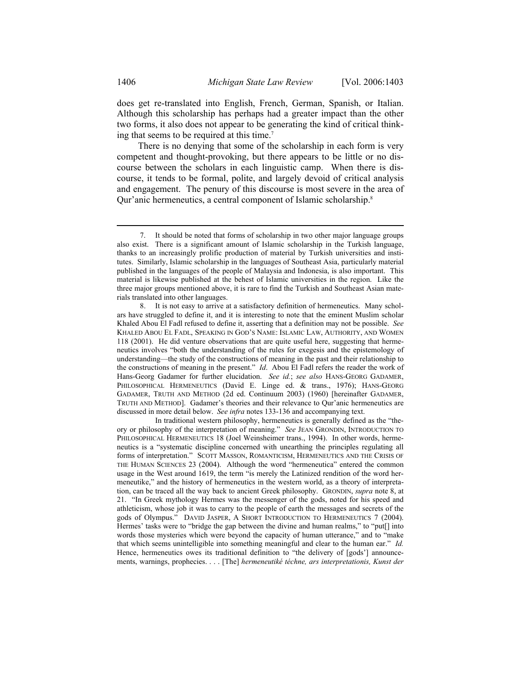does get re-translated into English, French, German, Spanish, or Italian. Although this scholarship has perhaps had a greater impact than the other two forms, it also does not appear to be generating the kind of critical thinking that seems to be required at this time.7

There is no denying that some of the scholarship in each form is very competent and thought-provoking, but there appears to be little or no discourse between the scholars in each linguistic camp. When there is discourse, it tends to be formal, polite, and largely devoid of critical analysis and engagement. The penury of this discourse is most severe in the area of Qur'anic hermeneutics, a central component of Islamic scholarship.<sup>8</sup>

 In traditional western philosophy, hermeneutics is generally defined as the "theory or philosophy of the interpretation of meaning." *See* JEAN GRONDIN, INTRODUCTION TO PHILOSOPHICAL HERMENEUTICS 18 (Joel Weinsheimer trans., 1994). In other words, hermeneutics is a "systematic discipline concerned with unearthing the principles regulating all forms of interpretation." SCOTT MASSON, ROMANTICISM, HERMENEUTICS AND THE CRISIS OF THE HUMAN SCIENCES 23 (2004). Although the word "hermeneutica" entered the common usage in the West around 1619, the term "is merely the Latinized rendition of the word hermeneutike," and the history of hermeneutics in the western world, as a theory of interpretation, can be traced all the way back to ancient Greek philosophy. GRONDIN, *supra* note 8, at 21. "In Greek mythology Hermes was the messenger of the gods, noted for his speed and athleticism, whose job it was to carry to the people of earth the messages and secrets of the gods of Olympus." DAVID JASPER, A SHORT INTRODUCTION TO HERMENEUTICS 7 (2004). Hermes' tasks were to "bridge the gap between the divine and human realms," to "put[] into words those mysteries which were beyond the capacity of human utterance," and to "make that which seems unintelligible into something meaningful and clear to the human ear." *Id.* Hence, hermeneutics owes its traditional definition to "the delivery of [gods'] announcements, warnings, prophecies. . . . [The] *hermeneutiké téchne, ars interpretationis, Kunst der* 

<sup>7.</sup> It should be noted that forms of scholarship in two other major language groups also exist. There is a significant amount of Islamic scholarship in the Turkish language, thanks to an increasingly prolific production of material by Turkish universities and institutes. Similarly, Islamic scholarship in the languages of Southeast Asia, particularly material published in the languages of the people of Malaysia and Indonesia, is also important. This material is likewise published at the behest of Islamic universities in the region. Like the three major groups mentioned above, it is rare to find the Turkish and Southeast Asian materials translated into other languages.

 <sup>8.</sup> It is not easy to arrive at a satisfactory definition of hermeneutics. Many scholars have struggled to define it, and it is interesting to note that the eminent Muslim scholar Khaled Abou El Fadl refused to define it, asserting that a definition may not be possible. *See* KHALED ABOU EL FADL, SPEAKING IN GOD'S NAME: ISLAMIC LAW, AUTHORITY, AND WOMEN 118 (2001). He did venture observations that are quite useful here, suggesting that hermeneutics involves "both the understanding of the rules for exegesis and the epistemology of understanding—the study of the constructions of meaning in the past and their relationship to the constructions of meaning in the present." *Id*. Abou El Fadl refers the reader the work of Hans-Georg Gadamer for further elucidation. *See id.*; *see also* HANS-GEORG GADAMER, PHILOSOPHICAL HERMENEUTICS (David E. Linge ed. & trans., 1976); HANS-GEORG GADAMER, TRUTH AND METHOD (2d ed. Continuum 2003) (1960) [hereinafter GADAMER, TRUTH AND METHOD]. Gadamer's theories and their relevance to Qur'anic hermeneutics are discussed in more detail below. *See infra* notes 133-136 and accompanying text.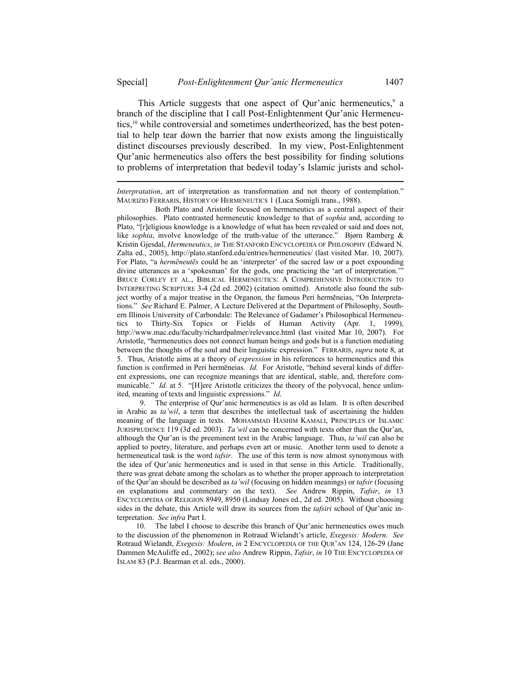l

This Article suggests that one aspect of Qur'anic hermeneutics,<sup>9</sup> a branch of the discipline that I call Post-Enlightenment Qur'anic Hermeneutics,10 while controversial and sometimes undertheorized, has the best potential to help tear down the barrier that now exists among the linguistically distinct discourses previously described. In my view, Post-Enlightenment Qur'anic hermeneutics also offers the best possibility for finding solutions to problems of interpretation that bedevil today's Islamic jurists and schol-

 9. The enterprise of Qur'anic hermeneutics is as old as Islam. It is often described in Arabic as *ta'wil*, a term that describes the intellectual task of ascertaining the hidden meaning of the language in texts. MOHAMMAD HASHIM KAMALI, PRINCIPLES OF ISLAMIC JURISPRUDENCE 119 (3d ed. 2003). *Ta'wil* can be concerned with texts other than the Qur'an, although the Qur'an is the preeminent text in the Arabic language. Thus, *ta'wil* can also be applied to poetry, literature, and perhaps even art or music. Another term used to denote a hermeneutical task is the word *tafsir*. The use of this term is now almost synonymous with the idea of Qur'anic hermeneutics and is used in that sense in this Article. Traditionally, there was great debate among the scholars as to whether the proper approach to interpretation of the Qur'an should be described as *ta'wil* (focusing on hidden meanings) or *tafsir* (focusing on explanations and commentary on the text). *See* Andrew Rippin, *Tafsir*, *in* 13 ENCYCLOPEDIA OF RELIGION 8949, 8950 (Lindsay Jones ed., 2d ed. 2005). Without choosing sides in the debate, this Article will draw its sources from the *tafsiri* school of Qur'anic interpretation. *See infra* Part I.

 10. The label I choose to describe this branch of Qur'anic hermeneutics owes much to the discussion of the phenomenon in Rotraud Wielandt's article, *Exegesis: Modern*. *See* Rotraud Wielandt, *Exegesis: Modern*, *in* 2 ENCYCLOPEDIA OF THE QUR'AN 124, 126-29 (Jane Dammen McAuliffe ed., 2002); *see also* Andrew Rippin, *Tafsir*, *in* 10 THE ENCYCLOPEDIA OF ISLAM 83 (P.J. Bearman et al. eds., 2000).

*Interpratation*, art of interpretation as transformation and not theory of contemplation." MAURIZIO FERRARIS, HISTORY OF HERMENEUTICS 1 (Luca Somigli trans., 1988).

Both Plato and Aristotle focused on hermeneutics as a central aspect of their philosophies. Plato contrasted hermeneutic knowledge to that of *sophia* and, according to Plato, "[r]eligious knowledge is a knowledge of what has been revealed or said and does not, like *sophia*, involve knowledge of the truth-value of the utterance." Bjørn Ramberg & Kristin Gjesdal, *Hermeneutics*, *in* THE STANFORD ENCYCLOPEDIA OF PHILOSOPHY (Edward N. Zalta ed., 2005), http://plato.stanford.edu/entries/hermeneutics/ (last visited Mar. 10, 2007). For Plato, "a *hermēneutēs* could be an 'interpreter' of the sacred law or a poet expounding divine utterances as a 'spokesman' for the gods, one practicing the 'art of interpretation.'" BRUCE CORLEY ET AL., BIBLICAL HERMENEUTICS: A COMPREHENSIVE INTRODUCTION TO INTERPRETING SCRIPTURE 3-4 (2d ed. 2002) (citation omitted). Aristotle also found the subject worthy of a major treatise in the Organon, the famous Peri hermēneias, "On Interpretations." *See* Richard E. Palmer, A Lecture Delivered at the Department of Philosophy, Southern Illinois University of Carbondale: The Relevance of Gadamer's Philosophical Hermeneutics to Thirty-Six Topics or Fields of Human Activity (Apr. 1, 1999), http://www.mac.edu/faculty/richardpalmer/relevance.html (last visited Mar 10, 2007). For Aristotle, "hermeneutics does not connect human beings and gods but is a function mediating between the thoughts of the soul and their linguistic expression." FERRARIS, *supra* note 8, at 5. Thus, Aristotle aims at a theory of *expression* in his references to hermeneutics and this function is confirmed in Peri hermēneias. *Id.* For Aristotle, "behind several kinds of different expressions, one can recognize meanings that are identical, stable, and, therefore communicable." *Id.* at 5. "[H]ere Aristotle criticizes the theory of the polyvocal, hence unlimited, meaning of texts and linguistic expressions." *Id*.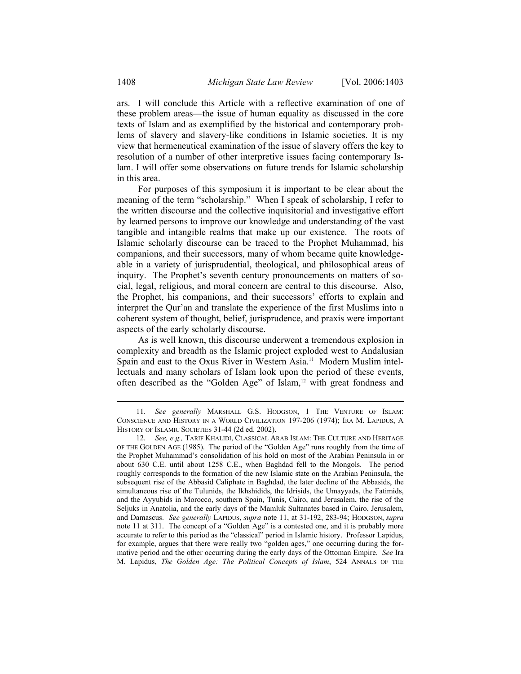ars. I will conclude this Article with a reflective examination of one of these problem areas—the issue of human equality as discussed in the core texts of Islam and as exemplified by the historical and contemporary problems of slavery and slavery-like conditions in Islamic societies. It is my view that hermeneutical examination of the issue of slavery offers the key to resolution of a number of other interpretive issues facing contemporary Islam. I will offer some observations on future trends for Islamic scholarship in this area.

For purposes of this symposium it is important to be clear about the meaning of the term "scholarship." When I speak of scholarship, I refer to the written discourse and the collective inquisitorial and investigative effort by learned persons to improve our knowledge and understanding of the vast tangible and intangible realms that make up our existence. The roots of Islamic scholarly discourse can be traced to the Prophet Muhammad, his companions, and their successors, many of whom became quite knowledgeable in a variety of jurisprudential, theological, and philosophical areas of inquiry. The Prophet's seventh century pronouncements on matters of social, legal, religious, and moral concern are central to this discourse. Also, the Prophet, his companions, and their successors' efforts to explain and interpret the Qur'an and translate the experience of the first Muslims into a coherent system of thought, belief, jurisprudence, and praxis were important aspects of the early scholarly discourse.

As is well known, this discourse underwent a tremendous explosion in complexity and breadth as the Islamic project exploded west to Andalusian Spain and east to the Oxus River in Western Asia.<sup>11</sup> Modern Muslim intellectuals and many scholars of Islam look upon the period of these events, often described as the "Golden Age" of Islam,<sup>12</sup> with great fondness and

 <sup>11.</sup> *See generally* MARSHALL G.S. HODGSON, 1 THE VENTURE OF ISLAM: CONSCIENCE AND HISTORY IN A WORLD CIVILIZATION 197-206 (1974); IRA M. LAPIDUS, A HISTORY OF ISLAMIC SOCIETIES 31-44 (2d ed. 2002).

 <sup>12.</sup> *See, e.g.,* TARIF KHALIDI, CLASSICAL ARAB ISLAM: THE CULTURE AND HERITAGE OF THE GOLDEN AGE (1985). The period of the "Golden Age" runs roughly from the time of the Prophet Muhammad's consolidation of his hold on most of the Arabian Peninsula in or about 630 C.E. until about 1258 C.E., when Baghdad fell to the Mongols. The period roughly corresponds to the formation of the new Islamic state on the Arabian Peninsula, the subsequent rise of the Abbasid Caliphate in Baghdad, the later decline of the Abbasids, the simultaneous rise of the Tulunids, the Ikhshidids, the Idrisids, the Umayyads, the Fatimids, and the Ayyubids in Morocco, southern Spain, Tunis, Cairo, and Jerusalem, the rise of the Seljuks in Anatolia, and the early days of the Mamluk Sultanates based in Cairo, Jerusalem, and Damascus. *See generally* LAPIDUS, *supra* note 11, at 31-192, 283-94; HODGSON, *supra*  note 11 at 311. The concept of a "Golden Age" is a contested one, and it is probably more accurate to refer to this period as the "classical" period in Islamic history. Professor Lapidus, for example, argues that there were really two "golden ages," one occurring during the formative period and the other occurring during the early days of the Ottoman Empire. *See* Ira M. Lapidus, *The Golden Age: The Political Concepts of Islam*, 524 ANNALS OF THE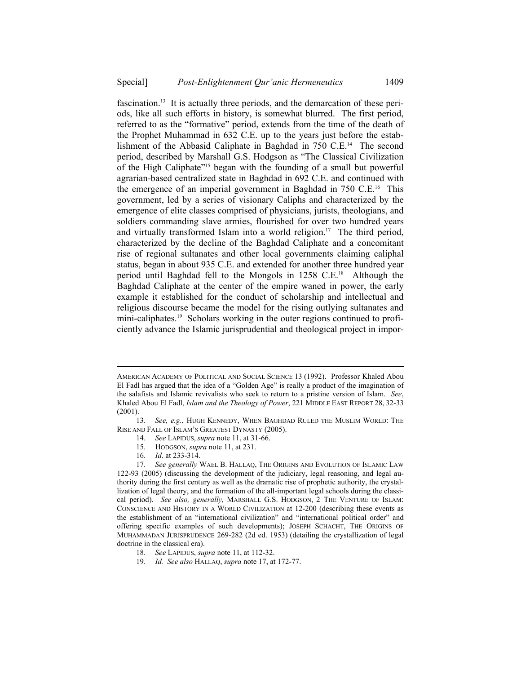fascination.13 It is actually three periods, and the demarcation of these periods, like all such efforts in history, is somewhat blurred. The first period, referred to as the "formative" period, extends from the time of the death of the Prophet Muhammad in 632 C.E. up to the years just before the establishment of the Abbasid Caliphate in Baghdad in 750 C.E.<sup>14</sup> The second period, described by Marshall G.S. Hodgson as "The Classical Civilization of the High Caliphate"15 began with the founding of a small but powerful agrarian-based centralized state in Baghdad in 692 C.E. and continued with the emergence of an imperial government in Baghdad in 750 C.E.16 This government, led by a series of visionary Caliphs and characterized by the emergence of elite classes comprised of physicians, jurists, theologians, and soldiers commanding slave armies, flourished for over two hundred years and virtually transformed Islam into a world religion.<sup>17</sup> The third period, characterized by the decline of the Baghdad Caliphate and a concomitant rise of regional sultanates and other local governments claiming caliphal status, began in about 935 C.E. and extended for another three hundred year period until Baghdad fell to the Mongols in 1258 C.E.<sup>18</sup> Although the Baghdad Caliphate at the center of the empire waned in power, the early example it established for the conduct of scholarship and intellectual and religious discourse became the model for the rising outlying sultanates and mini-caliphates.19 Scholars working in the outer regions continued to proficiently advance the Islamic jurisprudential and theological project in impor-

- 14*. See* LAPIDUS, *supra* note 11, at 31-66.
- 15. HODGSON, *supra* note 11, at 231.
- 16*. Id*. at 233-314.

- 18*. See* LAPIDUS, *supra* note 11, at 112-32.
- 19*. Id. See also* HALLAQ, *supra* note 17, at 172-77.

AMERICAN ACADEMY OF POLITICAL AND SOCIAL SCIENCE 13 (1992). Professor Khaled Abou El Fadl has argued that the idea of a "Golden Age" is really a product of the imagination of the salafists and Islamic revivalists who seek to return to a pristine version of Islam. *See*, Khaled Abou El Fadl, *Islam and the Theology of Power*, 221 MIDDLE EAST REPORT 28, 32-33 (2001).

 <sup>13</sup>*. See, e.g.*, HUGH KENNEDY, WHEN BAGHDAD RULED THE MUSLIM WORLD: THE RISE AND FALL OF ISLAM'S GREATEST DYNASTY (2005).

 <sup>17</sup>*. See generally* WAEL B. HALLAQ, THE ORIGINS AND EVOLUTION OF ISLAMIC LAW 122-93 (2005) (discussing the development of the judiciary, legal reasoning, and legal authority during the first century as well as the dramatic rise of prophetic authority, the crystallization of legal theory, and the formation of the all-important legal schools during the classical period). *See also, generally,* MARSHALL G.S. HODGSON, 2 THE VENTURE OF ISLAM: CONSCIENCE AND HISTORY IN A WORLD CIVILIZATION at 12-200 (describing these events as the establishment of an "international civilization" and "international political order" and offering specific examples of such developments); JOSEPH SCHACHT, THE ORIGINS OF MUHAMMADAN JURISPRUDENCE 269-282 (2d ed. 1953) (detailing the crystallization of legal doctrine in the classical era).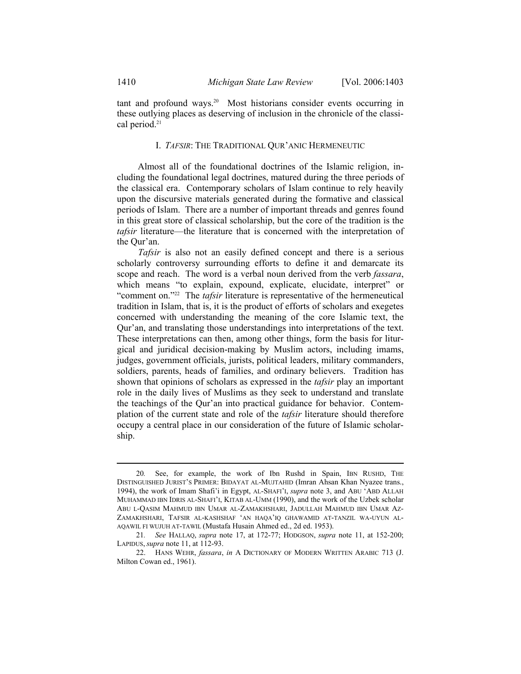tant and profound ways.20 Most historians consider events occurring in these outlying places as deserving of inclusion in the chronicle of the classical period.<sup>21</sup>

## I. *TAFSIR*: THE TRADITIONAL QUR'ANIC HERMENEUTIC

Almost all of the foundational doctrines of the Islamic religion, including the foundational legal doctrines, matured during the three periods of the classical era. Contemporary scholars of Islam continue to rely heavily upon the discursive materials generated during the formative and classical periods of Islam. There are a number of important threads and genres found in this great store of classical scholarship, but the core of the tradition is the *tafsir* literature—the literature that is concerned with the interpretation of the Qur'an.

*Tafsir* is also not an easily defined concept and there is a serious scholarly controversy surrounding efforts to define it and demarcate its scope and reach. The word is a verbal noun derived from the verb *fassara*, which means "to explain, expound, explicate, elucidate, interpret" or "comment on."22 The *tafsir* literature is representative of the hermeneutical tradition in Islam, that is, it is the product of efforts of scholars and exegetes concerned with understanding the meaning of the core Islamic text, the Qur'an, and translating those understandings into interpretations of the text. These interpretations can then, among other things, form the basis for liturgical and juridical decision-making by Muslim actors, including imams, judges, government officials, jurists, political leaders, military commanders, soldiers, parents, heads of families, and ordinary believers. Tradition has shown that opinions of scholars as expressed in the *tafsir* play an important role in the daily lives of Muslims as they seek to understand and translate the teachings of the Qur'an into practical guidance for behavior. Contemplation of the current state and role of the *tafsir* literature should therefore occupy a central place in our consideration of the future of Islamic scholarship.

 <sup>20</sup>*.* See, for example, the work of Ibn Rushd in Spain, IBN RUSHD, THE DISTINGUISHED JURIST'S PRIMER: BIDAYAT AL-MUJTAHID (Imran Ahsan Khan Nyazee trans., 1994), the work of Imam Shafi'i in Egypt, AL-SHAFI'I, *supra* note 3, and ABU 'ABD ALLAH MUHAMMAD IBN IDRIS AL-SHAFI'I, KITAB AL-UMM (1990), and the work of the Uzbek scholar ABU L-QASIM MAHMUD IBN UMAR AL-ZAMAKHSHARI, JADULLAH MAHMUD IBN UMAR AZ-ZAMAKHSHARI, TAFSIR AL-KASHSHAF 'AN HAQA'IQ GHAWAMID AT-TANZIL WA-UYUN AL-AQAWIL FI WUJUH AT-TAWIL (Mustafa Husain Ahmed ed., 2d ed. 1953).

 <sup>21</sup>*. See* HALLAQ, *supra* note 17, at 172-77; HODGSON, *supra* note 11, at 152-200; LAPIDUS, *supra* note 11, at 112-93.

 <sup>22.</sup> HANS WEHR, *fassara*, *in* A DICTIONARY OF MODERN WRITTEN ARABIC 713 (J. Milton Cowan ed., 1961).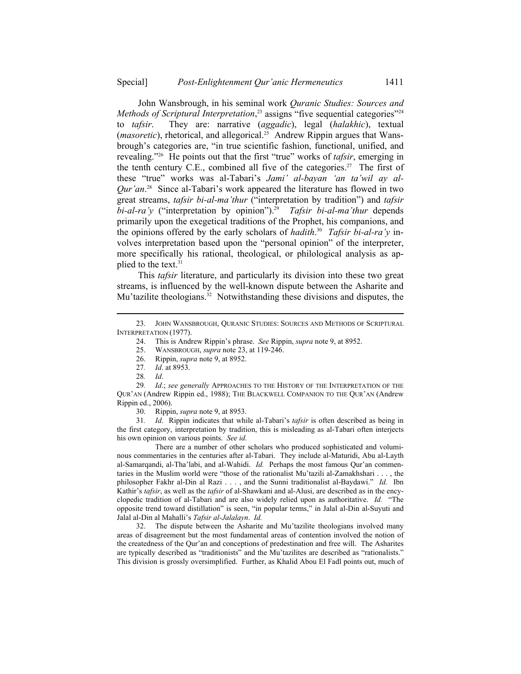John Wansbrough, in his seminal work *Quranic Studies: Sources and Methods of Scriptural Interpretation*,<sup>23</sup> assigns "five sequential categories"<sup>24</sup> to *tafsir*. They are: narrative (*aggadic*), legal (*halakhic*), textual (*masoretic*), rhetorical, and allegorical.25 Andrew Rippin argues that Wansbrough's categories are, "in true scientific fashion, functional, unified, and revealing."26 He points out that the first "true" works of *tafsir*, emerging in the tenth century C.E., combined all five of the categories.<sup>27</sup> The first of these "true" works was al-Tabari's *Jami' al-bayan 'an ta'wil ay al-Qur'an*. 28 Since al-Tabari's work appeared the literature has flowed in two great streams, *tafsir bi-al-ma'thur* ("interpretation by tradition") and *tafsir bi-al-ra'y* ("interpretation by opinion").29 *Tafsir bi-al-ma'thur* depends primarily upon the exegetical traditions of the Prophet, his companions, and the opinions offered by the early scholars of *hadith*. 30 *Tafsir bi-al-ra'y* involves interpretation based upon the "personal opinion" of the interpreter, more specifically his rational, theological, or philological analysis as applied to the text.<sup>31</sup>

This *tafsir* literature, and particularly its division into these two great streams, is influenced by the well-known dispute between the Asharite and Mu'tazilite theologians.<sup>32</sup> Notwithstanding these divisions and disputes, the

l

30. Rippin, *supra* note 9, at 8953.

 31*. Id*. Rippin indicates that while al-Tabari's *tafsir* is often described as being in the first category, interpretation by tradition, this is misleading as al-Tabari often interjects his own opinion on various points. *See id.*

 There are a number of other scholars who produced sophisticated and voluminous commentaries in the centuries after al-Tabari. They include al-Maturidi, Abu al-Layth al-Samarqandi, al-Tha'labi, and al-Wahidi. *Id.* Perhaps the most famous Qur'an commentaries in the Muslim world were "those of the rationalist Mu'tazili al-Zamakhshari . . . , the philosopher Fakhr al-Din al Razi . . . , and the Sunni traditionalist al-Baydawi." *Id.* Ibn Kathir's *tafsir*, as well as the *tafsir* of al-Shawkani and al-Alusi, are described as in the encyclopedic tradition of al-Tabari and are also widely relied upon as authoritative. *Id.* "The opposite trend toward distillation" is seen, "in popular terms," in Jalal al-Din al-Suyuti and Jalal al-Din al Mahalli's *Tafsir al-Jalalayn*. *Id.*

 32. The dispute between the Asharite and Mu'tazilite theologians involved many areas of disagreement but the most fundamental areas of contention involved the notion of the createdness of the Qur'an and conceptions of predestination and free will. The Asharites are typically described as "traditionists" and the Mu'tazilites are described as "rationalists." This division is grossly oversimplified. Further, as Khalid Abou El Fadl points out, much of

 <sup>23.</sup> JOHN WANSBROUGH, QURANIC STUDIES: SOURCES AND METHODS OF SCRIPTURAL INTERPRETATION (1977).

 <sup>24.</sup> This is Andrew Rippin's phrase. *See* Rippin, *supra* note 9, at 8952.

 <sup>25.</sup> WANSBROUGH, *supra* note 23, at 119-246.

 <sup>26.</sup> Rippin, *supra* note 9, at 8952.

<sup>27</sup>*. Id*. at 8953.

<sup>28</sup>*. Id*.

<sup>29</sup>*. Id*.; *see generally* APPROACHES TO THE HISTORY OF THE INTERPRETATION OF THE QUR'AN (Andrew Rippin ed., 1988); THE BLACKWELL COMPANION TO THE QUR'AN (Andrew Rippin ed., 2006).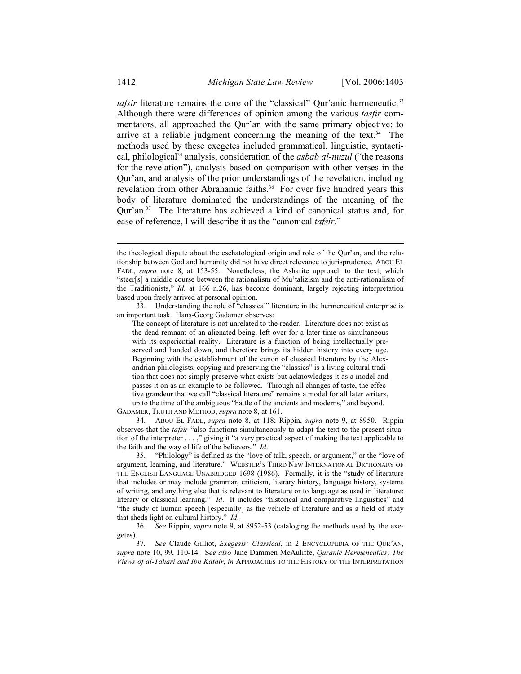*tafsir* literature remains the core of the "classical" Qur'anic hermeneutic.<sup>33</sup> Although there were differences of opinion among the various *tasfir* commentators, all approached the Qur'an with the same primary objective: to arrive at a reliable judgment concerning the meaning of the text.<sup>34</sup> The methods used by these exegetes included grammatical, linguistic, syntactical, philological<sup>35</sup> analysis, consideration of the *asbab al-nuzul* ("the reasons") for the revelation"), analysis based on comparison with other verses in the Qur'an, and analysis of the prior understandings of the revelation, including revelation from other Abrahamic faiths.<sup>36</sup> For over five hundred years this body of literature dominated the understandings of the meaning of the Qur'an.37 The literature has achieved a kind of canonical status and, for ease of reference, I will describe it as the "canonical *tafsir*."

GADAMER, TRUTH AND METHOD, *supra* note 8, at 161.

 34. ABOU EL FADL, *supra* note 8, at 118; Rippin, *supra* note 9, at 8950. Rippin observes that the *tafsir* "also functions simultaneously to adapt the text to the present situation of the interpreter . . . ," giving it "a very practical aspect of making the text applicable to the faith and the way of life of the believers." *Id*.

 35. "Philology" is defined as the "love of talk, speech, or argument," or the "love of argument, learning, and literature." WEBSTER'S THIRD NEW INTERNATIONAL DICTIONARY OF THE ENGLISH LANGUAGE UNABRIDGED 1698 (1986). Formally, it is the "study of literature that includes or may include grammar, criticism, literary history, language history, systems of writing, and anything else that is relevant to literature or to language as used in literature: literary or classical learning." *Id*. It includes "historical and comparative linguistics" and "the study of human speech [especially] as the vehicle of literature and as a field of study that sheds light on cultural history." *Id*.

 36. *See* Rippin, *supra* note 9, at 8952-53 (cataloging the methods used by the exegetes).

 37*. See* Claude Gilliot, *Exegesis: Classical*, in 2 ENCYCLOPEDIA OF THE QUR'AN, *supra* note 10, 99, 110-14. S*ee also* Jane Dammen McAuliffe, *Quranic Hermeneutics: The Views of al-Tahari and Ibn Kathir*, *in* APPROACHES TO THE HISTORY OF THE INTERPRETATION

the theological dispute about the eschatological origin and role of the Qur'an, and the relationship between God and humanity did not have direct relevance to jurisprudence. ABOU EL FADL, *supra* note 8, at 153-55. Nonetheless, the Asharite approach to the text, which "steer[s] a middle course between the rationalism of Mu'talizism and the anti-rationalism of the Traditionists," *Id*. at 166 n.26, has become dominant, largely rejecting interpretation based upon freely arrived at personal opinion.

 <sup>33.</sup> Understanding the role of "classical" literature in the hermeneutical enterprise is an important task. Hans-Georg Gadamer observes:

The concept of literature is not unrelated to the reader. Literature does not exist as the dead remnant of an alienated being, left over for a later time as simultaneous with its experiential reality. Literature is a function of being intellectually preserved and handed down, and therefore brings its hidden history into every age. Beginning with the establishment of the canon of classical literature by the Alexandrian philologists, copying and preserving the "classics" is a living cultural tradition that does not simply preserve what exists but acknowledges it as a model and passes it on as an example to be followed. Through all changes of taste, the effective grandeur that we call "classical literature" remains a model for all later writers, up to the time of the ambiguous "battle of the ancients and moderns," and beyond.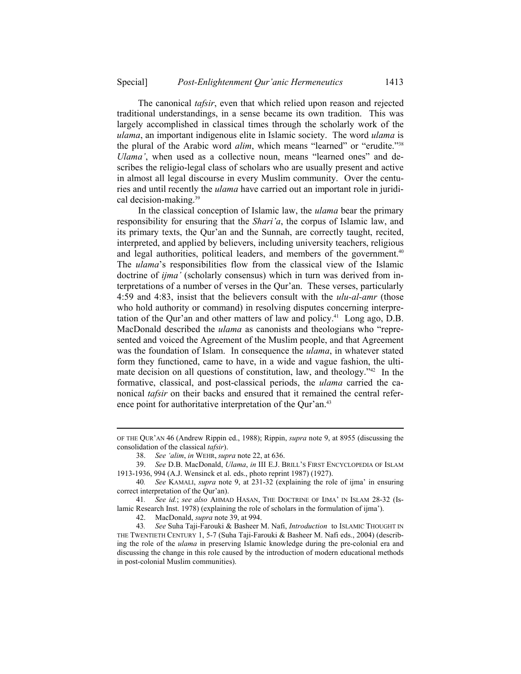The canonical *tafsir*, even that which relied upon reason and rejected traditional understandings, in a sense became its own tradition. This was largely accomplished in classical times through the scholarly work of the *ulama*, an important indigenous elite in Islamic society. The word *ulama* is the plural of the Arabic word *alim*, which means "learned" or "erudite."38 *Ulama'*, when used as a collective noun, means "learned ones" and describes the religio-legal class of scholars who are usually present and active in almost all legal discourse in every Muslim community. Over the centuries and until recently the *ulama* have carried out an important role in juridical decision-making.<sup>39</sup>

In the classical conception of Islamic law, the *ulama* bear the primary responsibility for ensuring that the *Shari'a*, the corpus of Islamic law, and its primary texts, the Qur'an and the Sunnah, are correctly taught, recited, interpreted, and applied by believers, including university teachers, religious and legal authorities, political leaders, and members of the government.<sup>40</sup> The *ulama*'s responsibilities flow from the classical view of the Islamic doctrine of *ijma'* (scholarly consensus) which in turn was derived from interpretations of a number of verses in the Qur'an. These verses, particularly 4:59 and 4:83, insist that the believers consult with the *ulu-al-amr* (those who hold authority or command) in resolving disputes concerning interpretation of the Qur'an and other matters of law and policy.<sup>41</sup> Long ago, D.B. MacDonald described the *ulama* as canonists and theologians who "represented and voiced the Agreement of the Muslim people, and that Agreement was the foundation of Islam. In consequence the *ulama*, in whatever stated form they functioned, came to have, in a wide and vague fashion, the ultimate decision on all questions of constitution, law, and theology.<sup>742</sup> In the formative, classical, and post-classical periods, the *ulama* carried the canonical *tafsir* on their backs and ensured that it remained the central reference point for authoritative interpretation of the Our'an.<sup>43</sup>

OF THE QUR'AN 46 (Andrew Rippin ed., 1988); Rippin, *supra* note 9, at 8955 (discussing the consolidation of the classical *tafsir*).

 <sup>38.</sup> *See 'alim*, *in* WEHR, *supra* note 22, at 636.

 <sup>39.</sup> *See* D.B. MacDonald, *Ulama*, *in* III E.J. BRILL'S FIRST ENCYCLOPEDIA OF ISLAM 1913-1936, 994 (A.J. Wensinck et al. eds., photo reprint 1987) (1927).

 <sup>40</sup>*. See* KAMALI, *supra* note 9, at 231-32 (explaining the role of ijma' in ensuring correct interpretation of the Qur'an).

 <sup>41</sup>*. See id.*; *see also* AHMAD HASAN, THE DOCTRINE OF IJMA' IN ISLAM 28-32 (Islamic Research Inst. 1978) (explaining the role of scholars in the formulation of ijma').

 <sup>42.</sup> MacDonald, *supra* note 39, at 994.

 <sup>43</sup>*. See* Suha Taji-Farouki & Basheer M. Nafi, *Introduction* to ISLAMIC THOUGHT IN THE TWENTIETH CENTURY 1, 5-7 (Suha Taji-Farouki & Basheer M. Nafi eds., 2004) (describing the role of the *ulama* in preserving Islamic knowledge during the pre-colonial era and discussing the change in this role caused by the introduction of modern educational methods in post-colonial Muslim communities).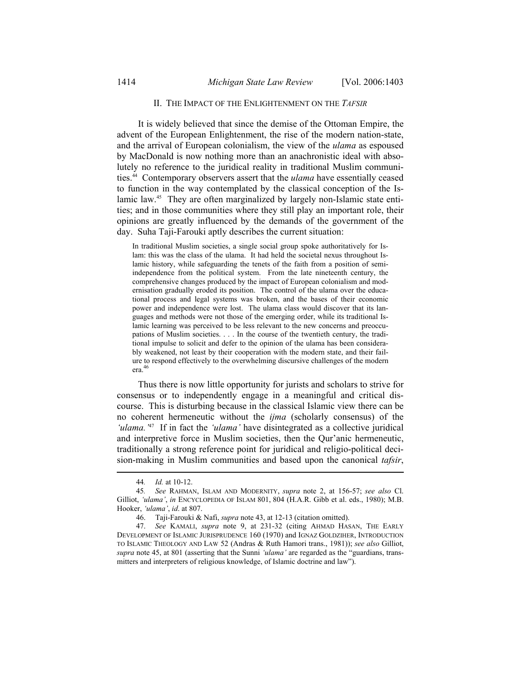#### II. THE IMPACT OF THE ENLIGHTENMENT ON THE *TAFSIR*

It is widely believed that since the demise of the Ottoman Empire, the advent of the European Enlightenment, the rise of the modern nation-state, and the arrival of European colonialism, the view of the *ulama* as espoused by MacDonald is now nothing more than an anachronistic ideal with absolutely no reference to the juridical reality in traditional Muslim communities.44 Contemporary observers assert that the *ulama* have essentially ceased to function in the way contemplated by the classical conception of the Islamic law.<sup>45</sup> They are often marginalized by largely non-Islamic state entities; and in those communities where they still play an important role, their opinions are greatly influenced by the demands of the government of the day. Suha Taji-Farouki aptly describes the current situation:

In traditional Muslim societies, a single social group spoke authoritatively for Islam: this was the class of the ulama. It had held the societal nexus throughout Islamic history, while safeguarding the tenets of the faith from a position of semiindependence from the political system. From the late nineteenth century, the comprehensive changes produced by the impact of European colonialism and modernisation gradually eroded its position. The control of the ulama over the educational process and legal systems was broken, and the bases of their economic power and independence were lost. The ulama class would discover that its languages and methods were not those of the emerging order, while its traditional Islamic learning was perceived to be less relevant to the new concerns and preoccupations of Muslim societies. . . . In the course of the twentieth century, the traditional impulse to solicit and defer to the opinion of the ulama has been considerably weakened, not least by their cooperation with the modern state, and their failure to respond effectively to the overwhelming discursive challenges of the modern era.46

Thus there is now little opportunity for jurists and scholars to strive for consensus or to independently engage in a meaningful and critical discourse. This is disturbing because in the classical Islamic view there can be no coherent hermeneutic without the *ijma* (scholarly consensus) of the *'ulama.'*47 If in fact the *'ulama'* have disintegrated as a collective juridical and interpretive force in Muslim societies, then the Qur'anic hermeneutic, traditionally a strong reference point for juridical and religio-political decision-making in Muslim communities and based upon the canonical *tafsir*,

 <sup>44</sup>*. Id.* at 10-12.

 <sup>45</sup>*. See* RAHMAN, ISLAM AND MODERNITY, *supra* note 2, at 156-57; *see also* Cl. Gilliot, *'ulama'*, *in* ENCYCLOPEDIA OF ISLAM 801, 804 (H.A.R. Gibb et al. eds., 1980); M.B. Hooker, *'ulama'*, *id*. at 807.

 <sup>46.</sup> Taji-Farouki & Nafi, *supra* note 43, at 12-13 (citation omitted).

 <sup>47.</sup> *See* KAMALI, *supra* note 9, at 231-32 (citing AHMAD HASAN, THE EARLY DEVELOPMENT OF ISLAMIC JURISPRUDENCE 160 (1970) and IGNAZ GOLDZIHER, INTRODUCTION TO ISLAMIC THEOLOGY AND LAW 52 (Andras & Ruth Hamori trans., 1981)); *see also* Gilliot, *supra* note 45, at 801 (asserting that the Sunni *'ulama'* are regarded as the "guardians, transmitters and interpreters of religious knowledge, of Islamic doctrine and law").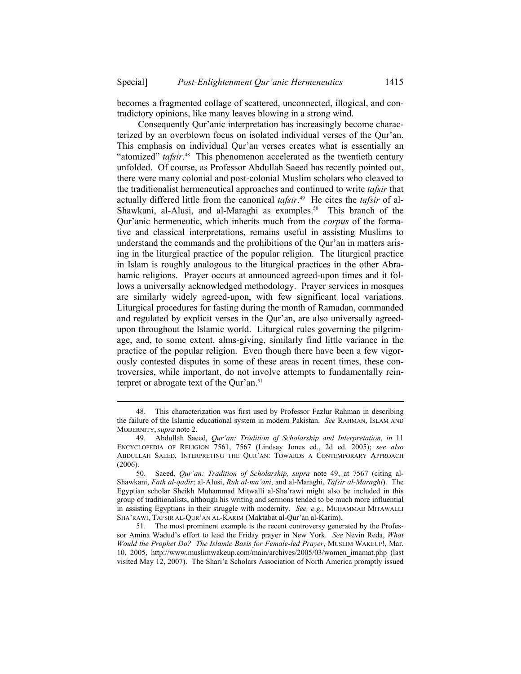becomes a fragmented collage of scattered, unconnected, illogical, and contradictory opinions, like many leaves blowing in a strong wind.

Consequently Qur'anic interpretation has increasingly become characterized by an overblown focus on isolated individual verses of the Qur'an. This emphasis on individual Qur'an verses creates what is essentially an "atomized" *tafsir*.<sup>48</sup> This phenomenon accelerated as the twentieth century unfolded. Of course, as Professor Abdullah Saeed has recently pointed out, there were many colonial and post-colonial Muslim scholars who cleaved to the traditionalist hermeneutical approaches and continued to write *tafsir* that actually differed little from the canonical *tafsir*. 49 He cites the *tafsir* of al-Shawkani, al-Alusi, and al-Maraghi as examples.<sup>50</sup> This branch of the Qur'anic hermeneutic, which inherits much from the *corpus* of the formative and classical interpretations, remains useful in assisting Muslims to understand the commands and the prohibitions of the Qur'an in matters arising in the liturgical practice of the popular religion. The liturgical practice in Islam is roughly analogous to the liturgical practices in the other Abrahamic religions. Prayer occurs at announced agreed-upon times and it follows a universally acknowledged methodology. Prayer services in mosques are similarly widely agreed-upon, with few significant local variations. Liturgical procedures for fasting during the month of Ramadan, commanded and regulated by explicit verses in the Qur'an, are also universally agreedupon throughout the Islamic world. Liturgical rules governing the pilgrimage, and, to some extent, alms-giving, similarly find little variance in the practice of the popular religion. Even though there have been a few vigorously contested disputes in some of these areas in recent times, these controversies, while important, do not involve attempts to fundamentally reinterpret or abrogate text of the Qur'an.<sup>51</sup>

 <sup>48.</sup> This characterization was first used by Professor Fazlur Rahman in describing the failure of the Islamic educational system in modern Pakistan. *See* RAHMAN, ISLAM AND MODERNITY, *supra* note 2.

 <sup>49.</sup> Abdullah Saeed, *Qur'an: Tradition of Scholarship and Interpretation*, *in* 11 ENCYCLOPEDIA OF RELIGION 7561, 7567 (Lindsay Jones ed., 2d ed. 2005); *see also* ABDULLAH SAEED, INTERPRETING THE QUR'AN: TOWARDS A CONTEMPORARY APPROACH (2006).

<sup>50</sup>*.* Saeed, *Qur'an: Tradition of Scholarship, supra* note 49, at 7567 (citing al-Shawkani, *Fath al-qadir*; al-Alusi, *Ruh al-ma'ani*, and al-Maraghi, *Tafsir al-Maraghi*). The Egyptian scholar Sheikh Muhammad Mitwalli al-Sha'rawi might also be included in this group of traditionalists, although his writing and sermons tended to be much more influential in assisting Egyptians in their struggle with modernity. *See, e.g.*, MUHAMMAD MITAWALLI SHA'RAWI, TAFSIR AL-QUR'AN AL-KARIM (Maktabat al-Qur'an al-Karim).

 <sup>51.</sup> The most prominent example is the recent controversy generated by the Professor Amina Wadud's effort to lead the Friday prayer in New York. *See* Nevin Reda, *What Would the Prophet Do? The Islamic Basis for Female-led Prayer*, MUSLIM WAKEUP!, Mar. 10, 2005, http://www.muslimwakeup.com/main/archives/2005/03/women\_imamat.php (last visited May 12, 2007). The Shari'a Scholars Association of North America promptly issued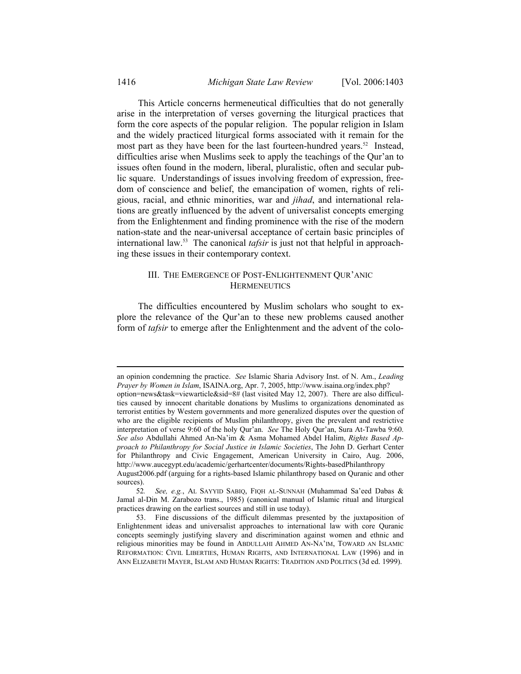This Article concerns hermeneutical difficulties that do not generally arise in the interpretation of verses governing the liturgical practices that form the core aspects of the popular religion. The popular religion in Islam and the widely practiced liturgical forms associated with it remain for the most part as they have been for the last fourteen-hundred years.<sup>52</sup> Instead, difficulties arise when Muslims seek to apply the teachings of the Qur'an to issues often found in the modern, liberal, pluralistic, often and secular public square. Understandings of issues involving freedom of expression, freedom of conscience and belief, the emancipation of women, rights of religious, racial, and ethnic minorities, war and *jihad*, and international relations are greatly influenced by the advent of universalist concepts emerging from the Enlightenment and finding prominence with the rise of the modern nation-state and the near-universal acceptance of certain basic principles of international law.53 The canonical *tafsir* is just not that helpful in approaching these issues in their contemporary context.

## III. THE EMERGENCE OF POST-ENLIGHTENMENT QUR'ANIC **HERMENEUTICS**

The difficulties encountered by Muslim scholars who sought to explore the relevance of the Qur'an to these new problems caused another form of *tafsir* to emerge after the Enlightenment and the advent of the colo-

an opinion condemning the practice. *See* Islamic Sharia Advisory Inst. of N. Am., *Leading Prayer by Women in Islam*, ISAINA.org, Apr. 7, 2005, http://www.isaina.org/index.php? option=news&task=viewarticle&sid=8# (last visited May 12, 2007). There are also difficulties caused by innocent charitable donations by Muslims to organizations denominated as terrorist entities by Western governments and more generalized disputes over the question of who are the eligible recipients of Muslim philanthropy, given the prevalent and restrictive interpretation of verse 9:60 of the holy Qur'an. *See* The Holy Qur'an, Sura At-Tawba 9:60. *See also* Abdullahi Ahmed An-Na'im & Asma Mohamed Abdel Halim, *Rights Based Approach to Philanthropy for Social Justice in Islamic Societies*, The John D. Gerhart Center for Philanthropy and Civic Engagement, American University in Cairo, Aug. 2006, http://www.aucegypt.edu/academic/gerhartcenter/documents/Rights-basedPhilanthropy August2006.pdf (arguing for a rights-based Islamic philanthropy based on Quranic and other sources).

 <sup>52</sup>*. See, e.g.*, AL SAYYID SABIQ, FIQH AL-SUNNAH (Muhammad Sa'eed Dabas & Jamal al-Din M. Zarabozo trans., 1985) (canonical manual of Islamic ritual and liturgical practices drawing on the earliest sources and still in use today).

 <sup>53.</sup> Fine discussions of the difficult dilemmas presented by the juxtaposition of Enlightenment ideas and universalist approaches to international law with core Quranic concepts seemingly justifying slavery and discrimination against women and ethnic and religious minorities may be found in ABDULLAHI AHMED AN-NA'IM, TOWARD AN ISLAMIC REFORMATION: CIVIL LIBERTIES, HUMAN RIGHTS, AND INTERNATIONAL LAW (1996) and in ANN ELIZABETH MAYER, ISLAM AND HUMAN RIGHTS: TRADITION AND POLITICS (3d ed. 1999).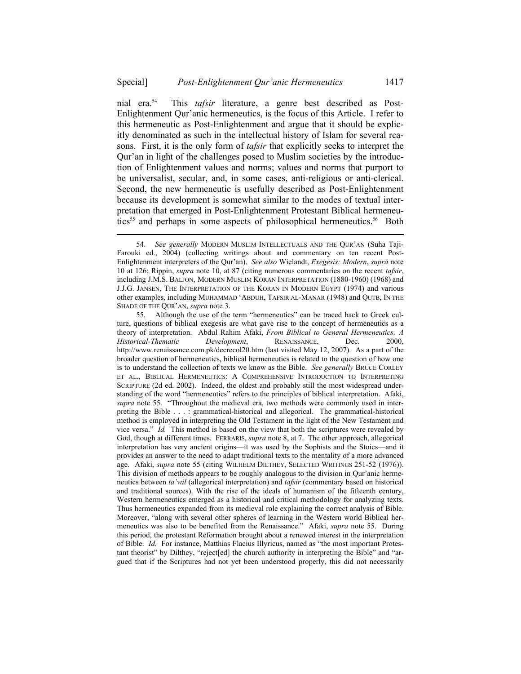nial era.54 This *tafsir* literature, a genre best described as Post-Enlightenment Qur'anic hermeneutics, is the focus of this Article. I refer to this hermeneutic as Post-Enlightenment and argue that it should be explicitly denominated as such in the intellectual history of Islam for several reasons. First, it is the only form of *tafsir* that explicitly seeks to interpret the Qur'an in light of the challenges posed to Muslim societies by the introduction of Enlightenment values and norms; values and norms that purport to be universalist, secular, and, in some cases, anti-religious or anti-clerical. Second, the new hermeneutic is usefully described as Post-Enlightenment because its development is somewhat similar to the modes of textual interpretation that emerged in Post-Enlightenment Protestant Biblical hermeneutics<sup>55</sup> and perhaps in some aspects of philosophical hermeneutics.<sup>56</sup> Both

 <sup>54</sup>*. See generally* MODERN MUSLIM INTELLECTUALS AND THE QUR'AN (Suha Taji-Farouki ed., 2004) (collecting writings about and commentary on ten recent Post-Enlightenment interpreters of the Qur'an). *See also* Wielandt, *Exegesis: Modern*, *supra* note 10 at 126; Rippin, *supra* note 10, at 87 (citing numerous commentaries on the recent *tafsir*, including J.M.S. BALJON, MODERN MUSLIM KORAN INTERPRETATION (1880-1960) (1968) and J.J.G. JANSEN, THE INTERPRETATION OF THE KORAN IN MODERN EGYPT (1974) and various other examples, including MUHAMMAD 'ABDUH, TAFSIR AL-MANAR (1948) and QUTB, IN THE SHADE OF THE QUR'AN, *supra* note 3.

 <sup>55.</sup> Although the use of the term "hermeneutics" can be traced back to Greek culture, questions of biblical exegesis are what gave rise to the concept of hermeneutics as a theory of interpretation. Abdul Rahim Afaki, *From Biblical to General Hermeneutics: A Historical-Thematic Development*, RENAISSANCE, Dec. 2000, http://www.renaissance.com.pk/decrecol20.htm (last visited May 12, 2007). As a part of the broader question of hermeneutics, biblical hermeneutics is related to the question of how one is to understand the collection of texts we know as the Bible. *See generally* BRUCE CORLEY ET AL., BIBLICAL HERMENEUTICS: A COMPREHENSIVE INTRODUCTION TO INTERPRETING SCRIPTURE (2d ed. 2002). Indeed, the oldest and probably still the most widespread understanding of the word "hermeneutics" refers to the principles of biblical interpretation. Afaki, *supra* note 55. "Throughout the medieval era, two methods were commonly used in interpreting the Bible . . . : grammatical-historical and allegorical. The grammatical-historical method is employed in interpreting the Old Testament in the light of the New Testament and vice versa." *Id.* This method is based on the view that both the scriptures were revealed by God, though at different times. FERRARIS, *supra* note 8, at 7. The other approach, allegorical interpretation has very ancient origins—it was used by the Sophists and the Stoics—and it provides an answer to the need to adapt traditional texts to the mentality of a more advanced age. Afaki, *supra* note 55 (citing WILHELM DILTHEY, SELECTED WRITINGS 251-52 (1976)). This division of methods appears to be roughly analogous to the division in Qur'anic hermeneutics between *ta'wil* (allegorical interpretation) and *tafsir* (commentary based on historical and traditional sources). With the rise of the ideals of humanism of the fifteenth century, Western hermeneutics emerged as a historical and critical methodology for analyzing texts. Thus hermeneutics expanded from its medieval role explaining the correct analysis of Bible. Moreover, "along with several other spheres of learning in the Western world Biblical hermeneutics was also to be benefited from the Renaissance." Afaki, *supra* note 55. During this period, the protestant Reformation brought about a renewed interest in the interpretation of Bible. *Id.* For instance, Matthias Flacius Illyricus, named as "the most important Protestant theorist" by Dilthey, "reject[ed] the church authority in interpreting the Bible" and "argued that if the Scriptures had not yet been understood properly, this did not necessarily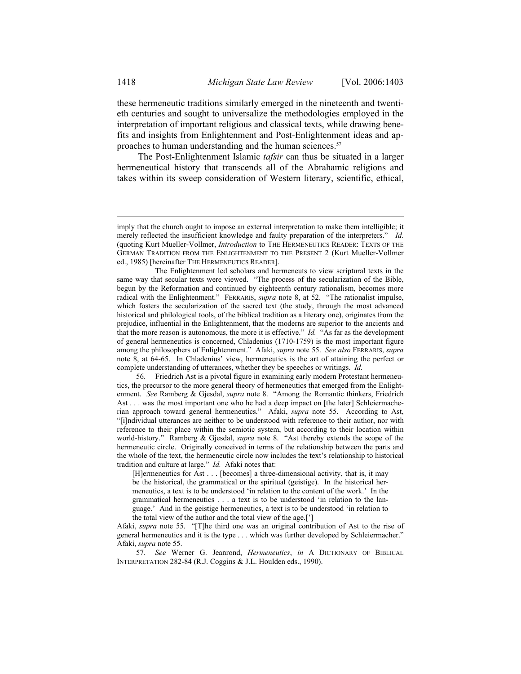these hermeneutic traditions similarly emerged in the nineteenth and twentieth centuries and sought to universalize the methodologies employed in the interpretation of important religious and classical texts, while drawing benefits and insights from Enlightenment and Post-Enlightenment ideas and approaches to human understanding and the human sciences.<sup>57</sup>

The Post-Enlightenment Islamic *tafsir* can thus be situated in a larger hermeneutical history that transcends all of the Abrahamic religions and takes within its sweep consideration of Western literary, scientific, ethical,

 56. Friedrich Ast is a pivotal figure in examining early modern Protestant hermeneutics, the precursor to the more general theory of hermeneutics that emerged from the Enlightenment. *See* Ramberg & Gjesdal, *supra* note 8. "Among the Romantic thinkers, Friedrich Ast . . . was the most important one who he had a deep impact on [the later] Schleiermacherian approach toward general hermeneutics." Afaki, *supra* note 55. According to Ast, "[i]ndividual utterances are neither to be understood with reference to their author, nor with reference to their place within the semiotic system, but according to their location within world-history." Ramberg & Gjesdal, *supra* note 8. "Ast thereby extends the scope of the hermeneutic circle. Originally conceived in terms of the relationship between the parts and the whole of the text, the hermeneutic circle now includes the text's relationship to historical tradition and culture at large." *Id.* Afaki notes that:

[H]ermeneutics for Ast . . . [becomes] a three-dimensional activity, that is, it may be the historical, the grammatical or the spiritual (geistige). In the historical hermeneutics, a text is to be understood 'in relation to the content of the work.' In the grammatical hermeneutics . . . a text is to be understood 'in relation to the language.' And in the geistige hermeneutics, a text is to be understood 'in relation to the total view of the author and the total view of the age.[']

Afaki, *supra* note 55. "[T]he third one was an original contribution of Ast to the rise of general hermeneutics and it is the type . . . which was further developed by Schleiermacher." Afaki, *supra* note 55.

 57*. See* Werner G. Jeanrond, *Hermeneutics*, *in* A DICTIONARY OF BIBLICAL INTERPRETATION 282-84 (R.J. Coggins & J.L. Houlden eds., 1990).

imply that the church ought to impose an external interpretation to make them intelligible; it merely reflected the insufficient knowledge and faulty preparation of the interpreters." *Id.* (quoting Kurt Mueller-Vollmer, *Introduction* to THE HERMENEUTICS READER: TEXTS OF THE GERMAN TRADITION FROM THE ENLIGHTENMENT TO THE PRESENT 2 (Kurt Mueller-Vollmer ed., 1985) [hereinafter THE HERMENEUTICS READER].

The Enlightenment led scholars and hermeneuts to view scriptural texts in the same way that secular texts were viewed. "The process of the secularization of the Bible, begun by the Reformation and continued by eighteenth century rationalism, becomes more radical with the Enlightenment." FERRARIS, *supra* note 8, at 52. "The rationalist impulse, which fosters the secularization of the sacred text (the study, through the most advanced historical and philological tools, of the biblical tradition as a literary one), originates from the prejudice, influential in the Enlightenment, that the moderns are superior to the ancients and that the more reason is autonomous, the more it is effective." *Id.* "As far as the development of general hermeneutics is concerned, Chladenius (1710-1759) is the most important figure among the philosophers of Enlightenment." Afaki, *supra* note 55. *See also* FERRARIS, *supra*  note 8, at 64-65. In Chladenius' view, hermeneutics is the art of attaining the perfect or complete understanding of utterances, whether they be speeches or writings. *Id.*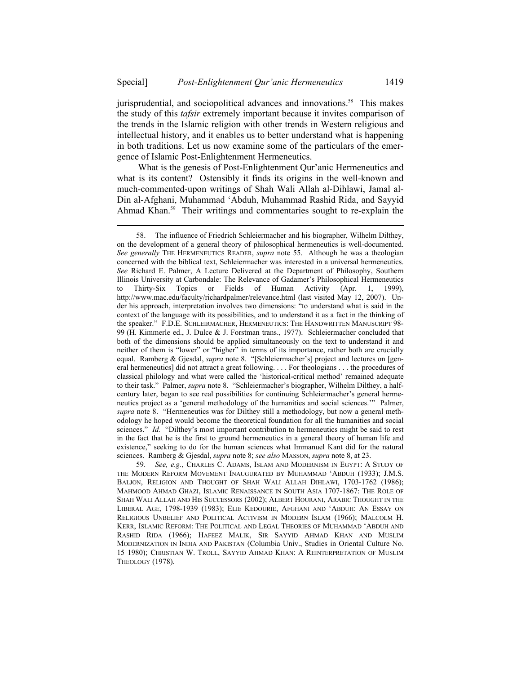l

jurisprudential, and sociopolitical advances and innovations.<sup>58</sup> This makes the study of this *tafsir* extremely important because it invites comparison of the trends in the Islamic religion with other trends in Western religious and intellectual history, and it enables us to better understand what is happening in both traditions. Let us now examine some of the particulars of the emergence of Islamic Post-Enlightenment Hermeneutics.

What is the genesis of Post-Enlightenment Qur'anic Hermeneutics and what is its content? Ostensibly it finds its origins in the well-known and much-commented-upon writings of Shah Wali Allah al-Dihlawi, Jamal al-Din al-Afghani, Muhammad 'Abduh, Muhammad Rashid Rida, and Sayyid Ahmad Khan.<sup>59</sup> Their writings and commentaries sought to re-explain the

 59. *See, e.g.*, CHARLES C. ADAMS, ISLAM AND MODERNISM IN EGYPT: A STUDY OF THE MODERN REFORM MOVEMENT INAUGURATED BY MUHAMMAD 'ABDUH (1933); J.M.S. BALJON, RELIGION AND THOUGHT OF SHAH WALI ALLAH DIHLAWI, 1703-1762 (1986); MAHMOOD AHMAD GHAZI, ISLAMIC RENAISSANCE IN SOUTH ASIA 1707-1867: THE ROLE OF SHAH WALI ALLAH AND HIS SUCCESSORS (2002); ALBERT HOURANI, ARABIC THOUGHT IN THE LIBERAL AGE, 1798-1939 (1983); ELIE KEDOURIE, AFGHANI AND 'ABDUH: AN ESSAY ON RELIGIOUS UNBELIEF AND POLITICAL ACTIVISM IN MODERN ISLAM (1966); MALCOLM H. KERR, ISLAMIC REFORM: THE POLITICAL AND LEGAL THEORIES OF MUHAMMAD 'ABDUH AND RASHID RIDA (1966); HAFEEZ MALIK, SIR SAYYID AHMAD KHAN AND MUSLIM MODERNIZATION IN INDIA AND PAKISTAN (Columbia Univ., Studies in Oriental Culture No. 15 1980); CHRISTIAN W. TROLL, SAYYID AHMAD KHAN: A REINTERPRETATION OF MUSLIM THEOLOGY (1978).

 <sup>58.</sup> The influence of Friedrich Schleiermacher and his biographer, Wilhelm Dilthey, on the development of a general theory of philosophical hermeneutics is well-documented. *See generally* THE HERMENEUTICS READER, *supra* note 55. Although he was a theologian concerned with the biblical text, Schleiermacher was interested in a universal hermeneutics. *See* Richard E. Palmer, A Lecture Delivered at the Department of Philosophy, Southern Illinois University at Carbondale: The Relevance of Gadamer's Philosophical Hermeneutics<br>to Thirty-Six Topics or Fields of Human Activity (Apr. 1, 1999), to Thirty-Six Topics or Fields of Human Activity (Apr. 1, 1999), http://www.mac.edu/faculty/richardpalmer/relevance.html (last visited May 12, 2007). Under his approach, interpretation involves two dimensions: "to understand what is said in the context of the language with its possibilities, and to understand it as a fact in the thinking of the speaker." F.D.E. SCHLEIRMACHER, HERMENEUTICS: THE HANDWRITTEN MANUSCRIPT 98- 99 (H. Kimmerle ed., J. Dulce & J. Forstman trans., 1977). Schleiermacher concluded that both of the dimensions should be applied simultaneously on the text to understand it and neither of them is "lower" or "higher" in terms of its importance, rather both are crucially equal. Ramberg & Gjesdal, *supra* note 8. "[Schleiermacher's] project and lectures on [general hermeneutics] did not attract a great following. . . . For theologians . . . the procedures of classical philology and what were called the 'historical-critical method' remained adequate to their task." Palmer, *supra* note 8. "Schleiermacher's biographer, Wilhelm Dilthey, a halfcentury later, began to see real possibilities for continuing Schleiermacher's general hermeneutics project as a 'general methodology of the humanities and social sciences.'" Palmer, *supra* note 8. "Hermeneutics was for Dilthey still a methodology, but now a general methodology he hoped would become the theoretical foundation for all the humanities and social sciences." *Id.* "Dilthey's most important contribution to hermeneutics might be said to rest in the fact that he is the first to ground hermeneutics in a general theory of human life and existence," seeking to do for the human sciences what Immanuel Kant did for the natural sciences. Ramberg & Gjesdal, *supra* note 8; *see also* MASSON, *supra* note 8, at 23.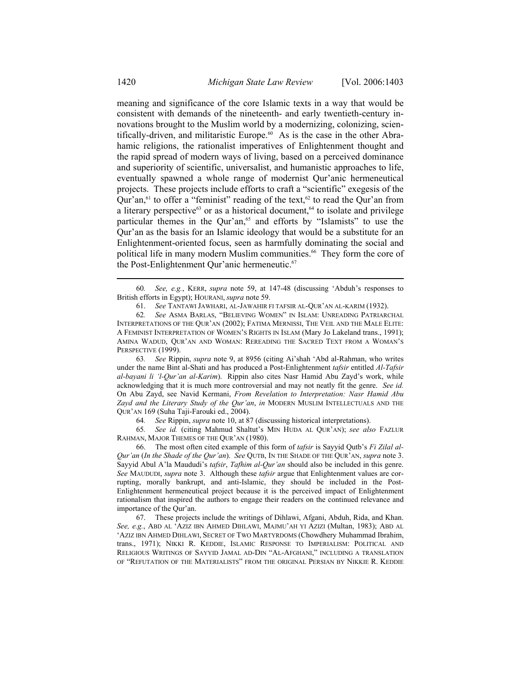meaning and significance of the core Islamic texts in a way that would be consistent with demands of the nineteenth- and early twentieth-century innovations brought to the Muslim world by a modernizing, colonizing, scientifically-driven, and militaristic Europe.<sup>60</sup> As is the case in the other Abrahamic religions, the rationalist imperatives of Enlightenment thought and the rapid spread of modern ways of living, based on a perceived dominance and superiority of scientific, universalist, and humanistic approaches to life, eventually spawned a whole range of modernist Qur'anic hermeneutical projects. These projects include efforts to craft a "scientific" exegesis of the Qur'an, $61$  to offer a "feminist" reading of the text, $62$  to read the Qur'an from a literary perspective<sup>63</sup> or as a historical document,<sup>64</sup> to isolate and privilege particular themes in the Qur'an,<sup>65</sup> and efforts by "Islamists" to use the Qur'an as the basis for an Islamic ideology that would be a substitute for an Enlightenment-oriented focus, seen as harmfully dominating the social and political life in many modern Muslim communities.<sup>66</sup> They form the core of the Post-Enlightenment Qur'anic hermeneutic.<sup>67</sup>

 63*. See* Rippin, *supra* note 9, at 8956 (citing Ai'shah 'Abd al-Rahman, who writes under the name Bint al-Shati and has produced a Post-Enlightenment *tafsir* entitled *Al-Tafsir al-bayani li 'l-Qur'an al-Karim*). Rippin also cites Nasr Hamid Abu Zayd's work, while acknowledging that it is much more controversial and may not neatly fit the genre. *See id.* On Abu Zayd, see Navid Kermani, *From Revelation to Interpretation: Nasr Hamid Abu Zayd and the Literary Study of the Qur'an*, *in* MODERN MUSLIM INTELLECTUALS AND THE QUR'AN 169 (Suha Taji-Farouki ed., 2004).

64*. See* Rippin, *supra* note 10, at 87 (discussing historical interpretations).

 65*. See id.* (citing Mahmud Shaltut's MIN HUDA AL QUR'AN); *see also* FAZLUR RAHMAN, MAJOR THEMES OF THE QUR'AN (1980).

 66. The most often cited example of this form of *tafsir* is Sayyid Qutb's *Fi Zilal al-Qur'an* (*In the Shade of the Qur'an*). *See* QUTB, IN THE SHADE OF THE QUR'AN, *supra* note 3. Sayyid Abul A'la Maududi's *tafsir*, *Tafhim al-Qur'an* should also be included in this genre. *See* MAUDUDI, *supra* note 3. Although these *tafsir* argue that Enlightenment values are corrupting, morally bankrupt, and anti-Islamic, they should be included in the Post-Enlightenment hermeneutical project because it is the perceived impact of Enlightenment rationalism that inspired the authors to engage their readers on the continued relevance and importance of the Qur'an.

 67. These projects include the writings of Dihlawi, Afgani, Abduh, Rida, and Khan. *See, e.g.*, ABD AL 'AZIZ IBN AHMED DIHLAWI, MAJMU'AH YI AZIZI (Multan, 1983); ABD AL 'AZIZ IBN AHMED DIHLAWI, SECRET OF TWO MARTYRDOMS (Chowdhery Muhammad Ibrahim, trans., 1971); NIKKI R. KEDDIE, ISLAMIC RESPONSE TO IMPERIALISM: POLITICAL AND RELIGIOUS WRITINGS OF SAYYID JAMAL AD-DIN "AL-AFGHANI," INCLUDING A TRANSLATION OF "REFUTATION OF THE MATERIALISTS" FROM THE ORIGINAL PERSIAN BY NIKKIE R. KEDDIE

 <sup>60</sup>*. See, e.g.*, KERR, *supra* note 59, at 147-48 (discussing 'Abduh's responses to British efforts in Egypt); HOURANI, *supra* note 59.

 <sup>61.</sup> *See* TANTAWI JAWHARI, AL-JAWAHIR FI TAFSIR AL-QUR'AN AL-KARIM (1932).

 <sup>62</sup>*. See* ASMA BARLAS, "BELIEVING WOMEN" IN ISLAM: UNREADING PATRIARCHAL INTERPRETATIONS OF THE QUR'AN (2002); FATIMA MERNISSI, THE VEIL AND THE MALE ELITE: A FEMINIST INTERPRETATION OF WOMEN'S RIGHTS IN ISLAM (Mary Jo Lakeland trans., 1991); AMINA WADUD, QUR'AN AND WOMAN: REREADING THE SACRED TEXT FROM A WOMAN'S PERSPECTIVE (1999).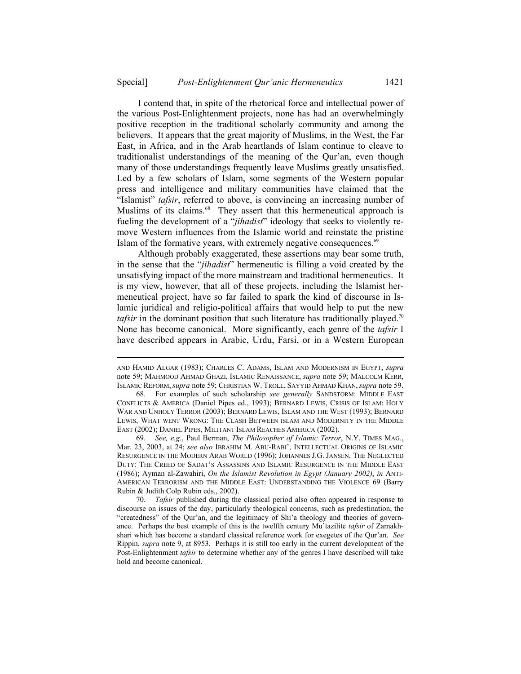I contend that, in spite of the rhetorical force and intellectual power of the various Post-Enlightenment projects, none has had an overwhelmingly positive reception in the traditional scholarly community and among the believers. It appears that the great majority of Muslims, in the West, the Far East, in Africa, and in the Arab heartlands of Islam continue to cleave to traditionalist understandings of the meaning of the Qur'an, even though many of those understandings frequently leave Muslims greatly unsatisfied. Led by a few scholars of Islam, some segments of the Western popular press and intelligence and military communities have claimed that the "Islamist" *tafsir*, referred to above, is convincing an increasing number of Muslims of its claims.<sup>68</sup> They assert that this hermeneutical approach is fueling the development of a "*jihadist*" ideology that seeks to violently remove Western influences from the Islamic world and reinstate the pristine Islam of the formative years, with extremely negative consequences.<sup>69</sup>

Although probably exaggerated, these assertions may bear some truth, in the sense that the "*jihadist*" hermeneutic is filling a void created by the unsatisfying impact of the more mainstream and traditional hermeneutics. It is my view, however, that all of these projects, including the Islamist hermeneutical project, have so far failed to spark the kind of discourse in Islamic juridical and religio-political affairs that would help to put the new *tafsir* in the dominant position that such literature has traditionally played.<sup>70</sup> None has become canonical. More significantly, each genre of the *tafsir* I have described appears in Arabic, Urdu, Farsi, or in a Western European

l

 69*. See, e.g.*, Paul Berman, *The Philosopher of Islamic Terror*, N.Y. TIMES MAG., Mar. 23, 2003, at 24; *see also* IBRAHIM M. ABU-RABI', INTELLECTUAL ORIGINS OF ISLAMIC RESURGENCE IN THE MODERN ARAB WORLD (1996); JOHANNES J.G. JANSEN, THE NEGLECTED DUTY: THE CREED OF SADAT'S ASSASSINS AND ISLAMIC RESURGENCE IN THE MIDDLE EAST (1986); Ayman al-Zawahiri, *On the Islamist Revolution in Egypt (January 2002)*, *in* ANTI-AMERICAN TERRORISM AND THE MIDDLE EAST: UNDERSTANDING THE VIOLENCE 69 (Barry Rubin & Judith Colp Rubin eds., 2002).

 70. *Tafsir* published during the classical period also often appeared in response to discourse on issues of the day, particularly theological concerns, such as predestination, the "createdness" of the Qur'an, and the legitimacy of Shi'a theology and theories of governance. Perhaps the best example of this is the twelfth century Mu'tazilite *tafsir* of Zamakhshari which has become a standard classical reference work for exegetes of the Qur'an. *See*  Rippin, *supra* note 9, at 8953. Perhaps it is still too early in the current development of the Post-Enlightenment *tafsir* to determine whether any of the genres I have described will take hold and become canonical.

AND HAMID ALGAR (1983); CHARLES C. ADAMS, ISLAM AND MODERNISM IN EGYPT, *supra*  note 59; MAHMOOD AHMAD GHAZI, ISLAMIC RENAISSANCE, *supra* note 59; MALCOLM KERR, ISLAMIC REFORM, *supra* note 59; CHRISTIAN W. TROLL, SAYYID AHMAD KHAN, *supra* note 59.

 <sup>68</sup>*.* For examples of such scholarship *see generally* SANDSTORM: MIDDLE EAST CONFLICTS & AMERICA (Daniel Pipes ed., 1993); BERNARD LEWIS, CRISIS OF ISLAM: HOLY WAR AND UNHOLY TERROR (2003); BERNARD LEWIS, ISLAM AND THE WEST (1993); BERNARD LEWIS, WHAT WENT WRONG: THE CLASH BETWEEN ISLAM AND MODERNITY IN THE MIDDLE EAST (2002); DANIEL PIPES, MILITANT ISLAM REACHES AMERICA (2002).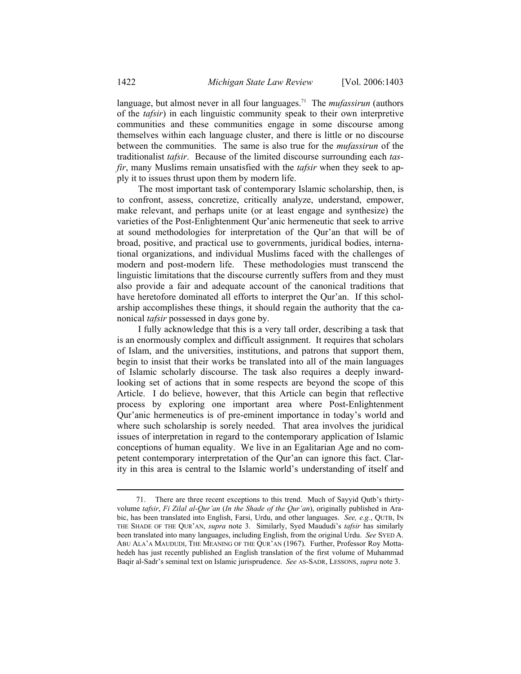language, but almost never in all four languages.71 The *mufassirun* (authors of the *tafsir*) in each linguistic community speak to their own interpretive communities and these communities engage in some discourse among themselves within each language cluster, and there is little or no discourse between the communities. The same is also true for the *mufassirun* of the traditionalist *tafsir*. Because of the limited discourse surrounding each *tasfir*, many Muslims remain unsatisfied with the *tafsir* when they seek to apply it to issues thrust upon them by modern life.

The most important task of contemporary Islamic scholarship, then, is to confront, assess, concretize, critically analyze, understand, empower, make relevant, and perhaps unite (or at least engage and synthesize) the varieties of the Post-Enlightenment Qur'anic hermeneutic that seek to arrive at sound methodologies for interpretation of the Qur'an that will be of broad, positive, and practical use to governments, juridical bodies, international organizations, and individual Muslims faced with the challenges of modern and post-modern life. These methodologies must transcend the linguistic limitations that the discourse currently suffers from and they must also provide a fair and adequate account of the canonical traditions that have heretofore dominated all efforts to interpret the Qur'an. If this scholarship accomplishes these things, it should regain the authority that the canonical *tafsir* possessed in days gone by.

I fully acknowledge that this is a very tall order, describing a task that is an enormously complex and difficult assignment. It requires that scholars of Islam, and the universities, institutions, and patrons that support them, begin to insist that their works be translated into all of the main languages of Islamic scholarly discourse. The task also requires a deeply inwardlooking set of actions that in some respects are beyond the scope of this Article. I do believe, however, that this Article can begin that reflective process by exploring one important area where Post-Enlightenment Qur'anic hermeneutics is of pre-eminent importance in today's world and where such scholarship is sorely needed. That area involves the juridical issues of interpretation in regard to the contemporary application of Islamic conceptions of human equality. We live in an Egalitarian Age and no competent contemporary interpretation of the Qur'an can ignore this fact. Clarity in this area is central to the Islamic world's understanding of itself and

 <sup>71.</sup> There are three recent exceptions to this trend. Much of Sayyid Qutb's thirtyvolume *tafsir*, *Fi Zilal al-Qur'an* (*In the Shade of the Qur'an*), originally published in Arabic, has been translated into English, Farsi, Urdu, and other languages. *See, e.g.*, QUTB, IN THE SHADE OF THE QUR'AN, *supra* note 3. Similarly, Syed Maududi's *tafsir* has similarly been translated into many languages, including English, from the original Urdu. *See* SYED A. ABU ALA'A MAUDUDI, THE MEANING OF THE QUR'AN (1967). Further, Professor Roy Mottahedeh has just recently published an English translation of the first volume of Muhammad Baqir al-Sadr's seminal text on Islamic jurisprudence. *See* AS-SADR, LESSONS, *supra* note 3.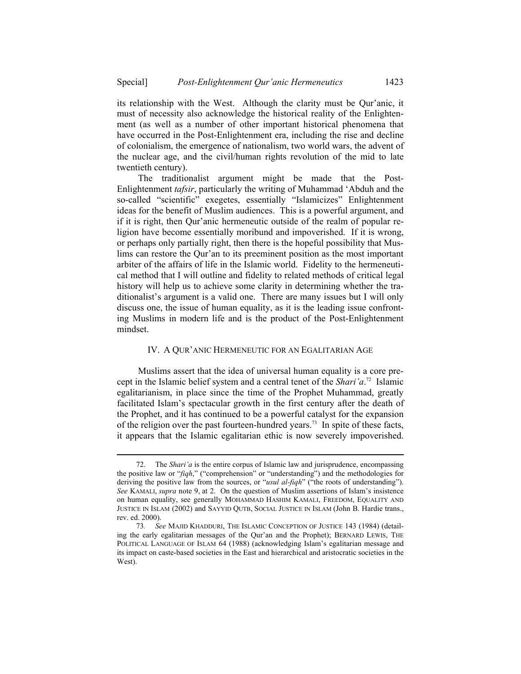its relationship with the West. Although the clarity must be Qur'anic, it must of necessity also acknowledge the historical reality of the Enlightenment (as well as a number of other important historical phenomena that have occurred in the Post-Enlightenment era, including the rise and decline of colonialism, the emergence of nationalism, two world wars, the advent of the nuclear age, and the civil/human rights revolution of the mid to late twentieth century).

The traditionalist argument might be made that the Post-Enlightenment *tafsir*, particularly the writing of Muhammad 'Abduh and the so-called "scientific" exegetes, essentially "Islamicizes" Enlightenment ideas for the benefit of Muslim audiences. This is a powerful argument, and if it is right, then Qur'anic hermeneutic outside of the realm of popular religion have become essentially moribund and impoverished. If it is wrong, or perhaps only partially right, then there is the hopeful possibility that Muslims can restore the Qur'an to its preeminent position as the most important arbiter of the affairs of life in the Islamic world. Fidelity to the hermeneutical method that I will outline and fidelity to related methods of critical legal history will help us to achieve some clarity in determining whether the traditionalist's argument is a valid one. There are many issues but I will only discuss one, the issue of human equality, as it is the leading issue confronting Muslims in modern life and is the product of the Post-Enlightenment mindset.

## IV. A QUR'ANIC HERMENEUTIC FOR AN EGALITARIAN AGE

Muslims assert that the idea of universal human equality is a core precept in the Islamic belief system and a central tenet of the *Shari'a*. 72 Islamic egalitarianism, in place since the time of the Prophet Muhammad, greatly facilitated Islam's spectacular growth in the first century after the death of the Prophet, and it has continued to be a powerful catalyst for the expansion of the religion over the past fourteen-hundred years.<sup>73</sup> In spite of these facts, it appears that the Islamic egalitarian ethic is now severely impoverished.

 <sup>72.</sup> The *Shari'a* is the entire corpus of Islamic law and jurisprudence, encompassing the positive law or "*fiqh*," ("comprehension" or "understanding") and the methodologies for deriving the positive law from the sources, or "*usul al-fiqh*" ("the roots of understanding"). *See* KAMALI, *supra* note 9, at 2. On the question of Muslim assertions of Islam's insistence on human equality, see generally MOHAMMAD HASHIM KAMALI, FREEDOM, EQUALITY AND JUSTICE IN ISLAM (2002) and SAYYID QUTB, SOCIAL JUSTICE IN ISLAM (John B. Hardie trans., rev. ed. 2000).

 <sup>73</sup>*. See* MAJID KHADDURI, THE ISLAMIC CONCEPTION OF JUSTICE 143 (1984) (detailing the early egalitarian messages of the Qur'an and the Prophet); BERNARD LEWIS, THE POLITICAL LANGUAGE OF ISLAM 64 (1988) (acknowledging Islam's egalitarian message and its impact on caste-based societies in the East and hierarchical and aristocratic societies in the West).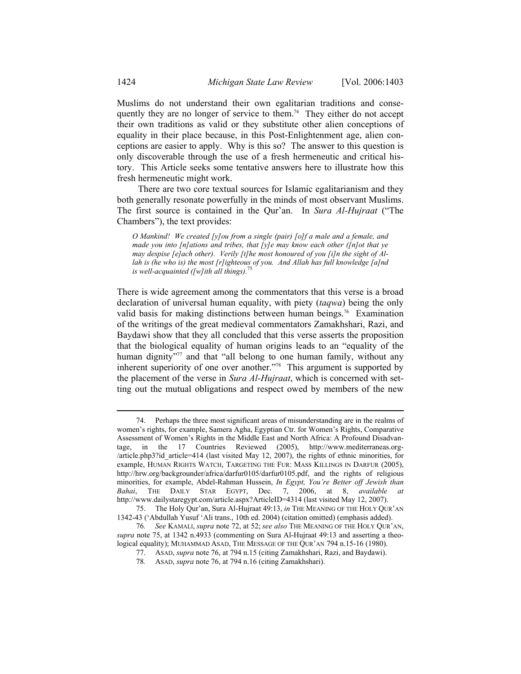Muslims do not understand their own egalitarian traditions and consequently they are no longer of service to them.<sup>74</sup> They either do not accept their own traditions as valid or they substitute other alien conceptions of equality in their place because, in this Post-Enlightenment age, alien conceptions are easier to apply. Why is this so? The answer to this question is only discoverable through the use of a fresh hermeneutic and critical history. This Article seeks some tentative answers here to illustrate how this fresh hermeneutic might work.

There are two core textual sources for Islamic egalitarianism and they both generally resonate powerfully in the minds of most observant Muslims. The first source is contained in the Qur'an. In *Sura Al-Hujraat* ("The Chambers"), the text provides:

*O Mankind! We created [y]ou from a single (pair) [o]f a male and a female, and made you into [n]ations and tribes, that [y]e may know each other ([n]ot that ye may despise [e]ach other). Verily [t]he most honoured of you [i]n the sight of Allah is (he who is) the most [r]ighteous of you. And Allah has full knowledge [a]nd is well-acquainted ([w]ith all things).*<sup>75</sup>

There is wide agreement among the commentators that this verse is a broad declaration of universal human equality, with piety (*taqwa*) being the only valid basis for making distinctions between human beings.<sup>76</sup> Examination of the writings of the great medieval commentators Zamakhshari, Razi, and Baydawi show that they all concluded that this verse asserts the proposition that the biological equality of human origins leads to an "equality of the human dignity<sup>"77</sup> and that "all belong to one human family, without any inherent superiority of one over another.<sup>778</sup> This argument is supported by the placement of the verse in *Sura Al-Hujraat*, which is concerned with setting out the mutual obligations and respect owed by members of the new

 <sup>74.</sup> Perhaps the three most significant areas of misunderstanding are in the realms of women's rights, for example, Samera Agha, Egyptian Ctr. for Women's Rights, Comparative Assessment of Women's Rights in the Middle East and North Africa: A Profound Disadvantage, in the 17 Countries Reviewed (2005), http://www.mediterraneas.org- /article.php3?id\_article=414 (last visited May 12, 2007), the rights of ethnic minorities, for example, HUMAN RIGHTS WATCH, TARGETING THE FUR: MASS KILLINGS IN DARFUR (2005), http://hrw.org/backgrounder/africa/darfur0105/darfur0105.pdf, and the rights of religious minorities, for example, Abdel-Rahman Hussein, *In Egypt, You're Better off Jewish than Bahai*, THE DAILY STAR EGYPT, Dec. 7, 2006, at 8, *available at* http://www.dailystaregypt.com/article.aspx?ArticleID=4314 (last visited May 12, 2007).

 <sup>75.</sup> The Holy Qur'an, Sura Al-Hujraat 49:13, *in* THE MEANING OF THE HOLY QUR'AN 1342-43 ('Abdullah Yusuf 'Ali trans., 10th ed. 2004) (citation omitted) (emphasis added).

 <sup>76</sup>*. See* KAMALI, *supra* note 72, at 52; *see also* THE MEANING OF THE HOLY QUR'AN, *supra* note 75, at 1342 n.4933 (commenting on Sura Al-Hujraat 49:13 and asserting a theological equality); MUHAMMAD ASAD, THE MESSAGE OF THE QUR'AN 794 n.15-16 (1980).

 <sup>77.</sup> ASAD, *supra* note 76, at 794 n.15 (citing Zamakhshari, Razi, and Baydawi).

 <sup>78</sup>*.* ASAD, *supra* note 76, at 794 n.16 (citing Zamakhshari).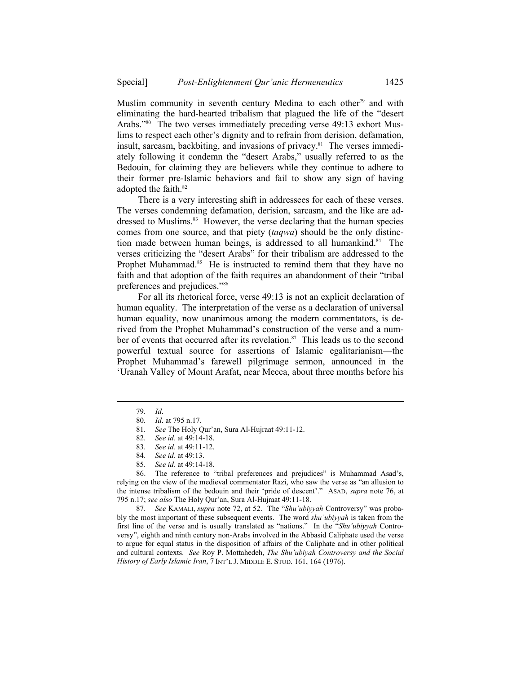Muslim community in seventh century Medina to each other<sup>79</sup> and with eliminating the hard-hearted tribalism that plagued the life of the "desert Arabs."80 The two verses immediately preceding verse 49:13 exhort Muslims to respect each other's dignity and to refrain from derision, defamation, insult, sarcasm, backbiting, and invasions of privacy.<sup>81</sup> The verses immediately following it condemn the "desert Arabs," usually referred to as the Bedouin, for claiming they are believers while they continue to adhere to their former pre-Islamic behaviors and fail to show any sign of having adopted the faith.<sup>82</sup>

There is a very interesting shift in addressees for each of these verses. The verses condemning defamation, derision, sarcasm, and the like are addressed to Muslims.<sup>83</sup> However, the verse declaring that the human species comes from one source, and that piety (*taqwa*) should be the only distinction made between human beings, is addressed to all humankind.<sup>84</sup> The verses criticizing the "desert Arabs" for their tribalism are addressed to the Prophet Muhammad.<sup>85</sup> He is instructed to remind them that they have no faith and that adoption of the faith requires an abandonment of their "tribal preferences and prejudices."86

For all its rhetorical force, verse 49:13 is not an explicit declaration of human equality. The interpretation of the verse as a declaration of universal human equality, now unanimous among the modern commentators, is derived from the Prophet Muhammad's construction of the verse and a number of events that occurred after its revelation.<sup>87</sup> This leads us to the second powerful textual source for assertions of Islamic egalitarianism—the Prophet Muhammad's farewell pilgrimage sermon, announced in the 'Uranah Valley of Mount Arafat, near Mecca, about three months before his

l

 87*. See* KAMALI, *supra* note 72, at 52. The "*Shu'ubiyyah* Controversy" was probably the most important of these subsequent events. The word *shu'ubiyyah* is taken from the first line of the verse and is usually translated as "nations." In the "*Shu'ubiyyah* Controversy", eighth and ninth century non-Arabs involved in the Abbasid Caliphate used the verse to argue for equal status in the disposition of affairs of the Caliphate and in other political and cultural contexts. *See* Roy P. Mottahedeh, *The Shu'ubiyah Controversy and the Social History of Early Islamic Iran*, 7 INT'L J. MIDDLE E. STUD. 161, 164 (1976).

<sup>79</sup>*. Id*.

<sup>80</sup>*. Id*. at 795 n.17.

 <sup>81.</sup> *See* The Holy Qur'an, Sura Al-Hujraat 49:11-12.

 <sup>82.</sup> *See id.* at 49:14-18.

 <sup>83.</sup> *See id.* at 49:11-12.

 <sup>84.</sup> *See id.* at 49:13.

 <sup>85.</sup> *See id.* at 49:14-18.

 <sup>86.</sup> The reference to "tribal preferences and prejudices" is Muhammad Asad's, relying on the view of the medieval commentator Razi, who saw the verse as "an allusion to the intense tribalism of the bedouin and their 'pride of descent'." ASAD, *supra* note 76, at 795 n.17; *see also* The Holy Qur'an, Sura Al-Hujraat 49:11-18.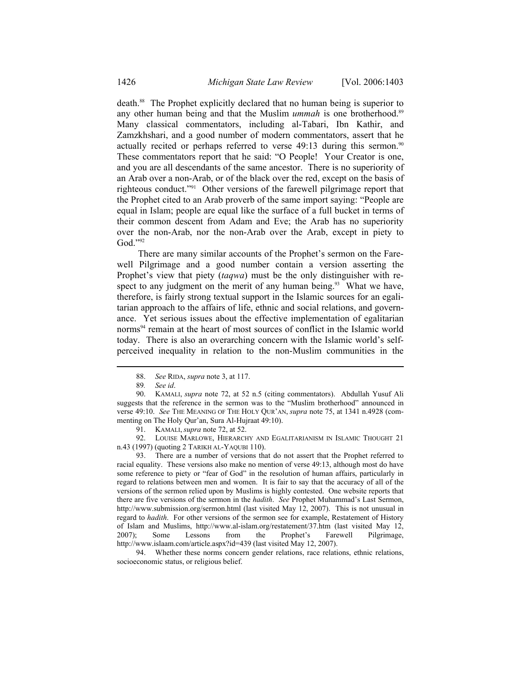death.88 The Prophet explicitly declared that no human being is superior to any other human being and that the Muslim *ummah* is one brotherhood.<sup>89</sup> Many classical commentators, including al-Tabari, Ibn Kathir, and Zamzkhshari, and a good number of modern commentators, assert that he actually recited or perhaps referred to verse  $49:13$  during this sermon.<sup>90</sup> These commentators report that he said: "O People! Your Creator is one, and you are all descendants of the same ancestor. There is no superiority of an Arab over a non-Arab, or of the black over the red, except on the basis of righteous conduct."91 Other versions of the farewell pilgrimage report that the Prophet cited to an Arab proverb of the same import saying: "People are equal in Islam; people are equal like the surface of a full bucket in terms of their common descent from Adam and Eve; the Arab has no superiority over the non-Arab, nor the non-Arab over the Arab, except in piety to God."92

There are many similar accounts of the Prophet's sermon on the Farewell Pilgrimage and a good number contain a version asserting the Prophet's view that piety (*taqwa*) must be the only distinguisher with respect to any judgment on the merit of any human being.<sup>93</sup> What we have, therefore, is fairly strong textual support in the Islamic sources for an egalitarian approach to the affairs of life, ethnic and social relations, and governance. Yet serious issues about the effective implementation of egalitarian norms<sup>94</sup> remain at the heart of most sources of conflict in the Islamic world today. There is also an overarching concern with the Islamic world's selfperceived inequality in relation to the non-Muslim communities in the

 <sup>88.</sup> *See* RIDA, *supra* note 3, at 117.

 <sup>89</sup>*. See id*.

 <sup>90.</sup> KAMALI, *supra* note 72, at 52 n.5 (citing commentators). Abdullah Yusuf Ali suggests that the reference in the sermon was to the "Muslim brotherhood" announced in verse 49:10. *See* THE MEANING OF THE HOLY QUR'AN, *supra* note 75, at 1341 n.4928 (commenting on The Holy Qur'an, Sura Al-Hujraat 49:10).

 <sup>91.</sup> KAMALI, *supra* note 72, at 52.

 <sup>92.</sup> LOUISE MARLOWE, HIERARCHY AND EGALITARIANISM IN ISLAMIC THOUGHT 21 n.43 (1997) (quoting 2 TARIKH AL-YAQUBI 110).

 <sup>93.</sup> There are a number of versions that do not assert that the Prophet referred to racial equality. These versions also make no mention of verse 49:13, although most do have some reference to piety or "fear of God" in the resolution of human affairs, particularly in regard to relations between men and women. It is fair to say that the accuracy of all of the versions of the sermon relied upon by Muslims is highly contested. One website reports that there are five versions of the sermon in the *hadith*. *See* Prophet Muhammad's Last Sermon, http://www.submission.org/sermon.html (last visited May 12, 2007). This is not unusual in regard to *hadith*. For other versions of the sermon see for example, Restatement of History of Islam and Muslims, http://www.al-islam.org/restatement/37.htm (last visited May 12, 2007); Some Lessons from the Prophet's Farewell Pilgrimage, http://www.islaam.com/article.aspx?id=439 (last visited May 12, 2007).

 <sup>94.</sup> Whether these norms concern gender relations, race relations, ethnic relations, socioeconomic status, or religious belief.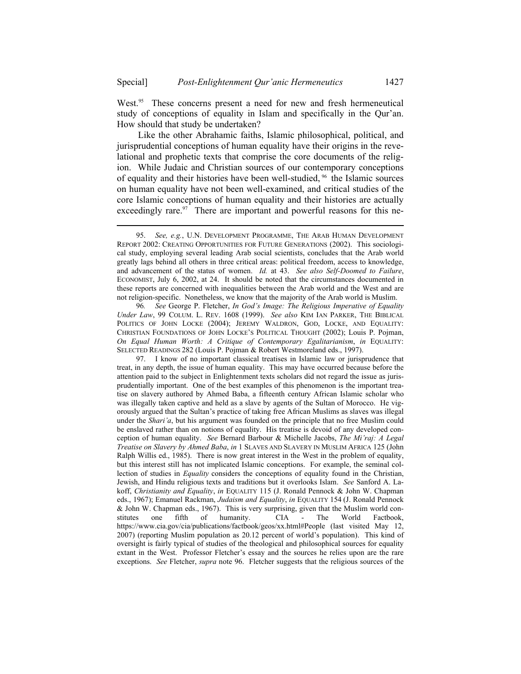l

West.<sup>95</sup> These concerns present a need for new and fresh hermeneutical study of conceptions of equality in Islam and specifically in the Qur'an. How should that study be undertaken?

Like the other Abrahamic faiths, Islamic philosophical, political, and jurisprudential conceptions of human equality have their origins in the revelational and prophetic texts that comprise the core documents of the religion. While Judaic and Christian sources of our contemporary conceptions of equality and their histories have been well-studied, 96 the Islamic sources on human equality have not been well-examined, and critical studies of the core Islamic conceptions of human equality and their histories are actually exceedingly rare. $97$  There are important and powerful reasons for this ne-

96*. See* George P. Fletcher, *In God's Image: The Religious Imperative of Equality Under Law*, 99 COLUM. L. REV. 1608 (1999). *See also* KIM IAN PARKER, THE BIBLICAL POLITICS OF JOHN LOCKE (2004); JEREMY WALDRON, GOD, LOCKE, AND EQUALITY: CHRISTIAN FOUNDATIONS OF JOHN LOCKE'S POLITICAL THOUGHT (2002); Louis P. Pojman, *On Equal Human Worth: A Critique of Contemporary Egalitarianism*, *in* EQUALITY: SELECTED READINGS 282 (Louis P. Pojman & Robert Westmoreland eds., 1997).

 97. I know of no important classical treatises in Islamic law or jurisprudence that treat, in any depth, the issue of human equality. This may have occurred because before the attention paid to the subject in Enlightenment texts scholars did not regard the issue as jurisprudentially important. One of the best examples of this phenomenon is the important treatise on slavery authored by Ahmed Baba, a fifteenth century African Islamic scholar who was illegally taken captive and held as a slave by agents of the Sultan of Morocco. He vigorously argued that the Sultan's practice of taking free African Muslims as slaves was illegal under the *Shari'a*, but his argument was founded on the principle that no free Muslim could be enslaved rather than on notions of equality. His treatise is devoid of any developed conception of human equality. *See* Bernard Barbour & Michelle Jacobs, *The Mi'raj: A Legal Treatise on Slavery by Ahmed Baba*, *in* 1 SLAVES AND SLAVERY IN MUSLIM AFRICA 125 (John Ralph Willis ed., 1985). There is now great interest in the West in the problem of equality, but this interest still has not implicated Islamic conceptions. For example, the seminal collection of studies in *Equality* considers the conceptions of equality found in the Christian, Jewish, and Hindu religious texts and traditions but it overlooks Islam. *See* Sanford A. Lakoff, *Christianity and Equality*, *in* EQUALITY 115 (J. Ronald Pennock & John W. Chapman eds., 1967); Emanuel Rackman, *Judaism and Equality*, *in* EQUALITY 154 (J. Ronald Pennock & John W. Chapman eds., 1967). This is very surprising, given that the Muslim world constitutes one fifth of humanity. CIA - The World Factbook, https://www.cia.gov/cia/publications/factbook/geos/xx.html#People (last visited May 12, 2007) (reporting Muslim population as 20.12 percent of world's population). This kind of oversight is fairly typical of studies of the theological and philosophical sources for equality extant in the West. Professor Fletcher's essay and the sources he relies upon are the rare exceptions. *See* Fletcher, *supra* note 96. Fletcher suggests that the religious sources of the

 <sup>95.</sup> *See, e.g.*, U.N. DEVELOPMENT PROGRAMME, THE ARAB HUMAN DEVELOPMENT REPORT 2002: CREATING OPPORTUNITIES FOR FUTURE GENERATIONS (2002). This sociological study, employing several leading Arab social scientists, concludes that the Arab world greatly lags behind all others in three critical areas: political freedom, access to knowledge, and advancement of the status of women. *Id.* at 43. *See also Self-Doomed to Failure*, ECONOMIST, July 6, 2002, at 24. It should be noted that the circumstances documented in these reports are concerned with inequalities between the Arab world and the West and are not religion-specific. Nonetheless, we know that the majority of the Arab world is Muslim.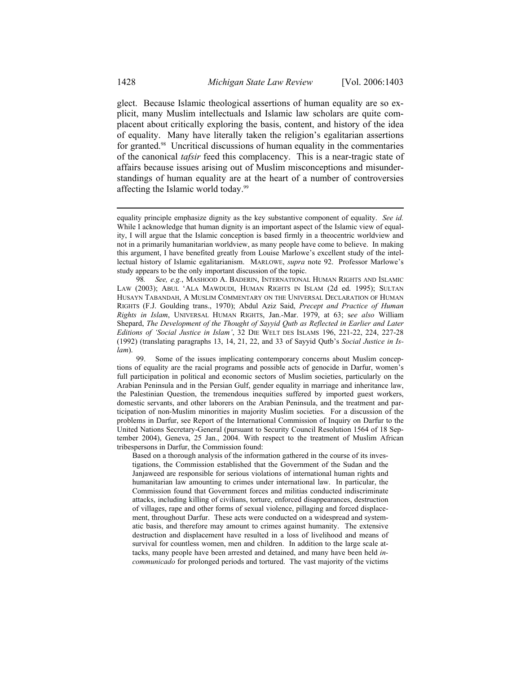glect. Because Islamic theological assertions of human equality are so explicit, many Muslim intellectuals and Islamic law scholars are quite complacent about critically exploring the basis, content, and history of the idea of equality. Many have literally taken the religion's egalitarian assertions for granted.98 Uncritical discussions of human equality in the commentaries of the canonical *tafsir* feed this complacency. This is a near-tragic state of affairs because issues arising out of Muslim misconceptions and misunderstandings of human equality are at the heart of a number of controversies affecting the Islamic world today.99

Based on a thorough analysis of the information gathered in the course of its investigations, the Commission established that the Government of the Sudan and the Janjaweed are responsible for serious violations of international human rights and humanitarian law amounting to crimes under international law. In particular, the Commission found that Government forces and militias conducted indiscriminate attacks, including killing of civilians, torture, enforced disappearances, destruction of villages, rape and other forms of sexual violence, pillaging and forced displacement, throughout Darfur. These acts were conducted on a widespread and systematic basis, and therefore may amount to crimes against humanity. The extensive destruction and displacement have resulted in a loss of livelihood and means of survival for countless women, men and children. In addition to the large scale attacks, many people have been arrested and detained, and many have been held *incommunicado* for prolonged periods and tortured. The vast majority of the victims

equality principle emphasize dignity as the key substantive component of equality. *See id.* While I acknowledge that human dignity is an important aspect of the Islamic view of equality, I will argue that the Islamic conception is based firmly in a theocentric worldview and not in a primarily humanitarian worldview, as many people have come to believe. In making this argument, I have benefited greatly from Louise Marlowe's excellent study of the intellectual history of Islamic egalitarianism. MARLOWE, *supra* note 92. Professor Marlowe's study appears to be the only important discussion of the topic.

 <sup>98</sup>*. See, e.g.*, MASHOOD A. BADERIN, INTERNATIONAL HUMAN RIGHTS AND ISLAMIC LAW (2003); ABUL 'ALA MAWDUDI, HUMAN RIGHTS IN ISLAM (2d ed. 1995); SULTAN HUSAYN TABANDAH, A MUSLIM COMMENTARY ON THE UNIVERSAL DECLARATION OF HUMAN RIGHTS (F.J. Goulding trans., 1970); Abdul Aziz Said, *Precept and Practice of Human Rights in Islam*, UNIVERSAL HUMAN RIGHTS, Jan.-Mar. 1979, at 63; s*ee also* William Shepard, *The Development of the Thought of Sayyid Qutb as Reflected in Earlier and Later Editions of 'Social Justice in Islam'*, 32 DIE WELT DES ISLAMS 196, 221-22, 224, 227-28 (1992) (translating paragraphs 13, 14, 21, 22, and 33 of Sayyid Qutb's *Social Justice in Islam*).

Some of the issues implicating contemporary concerns about Muslim conceptions of equality are the racial programs and possible acts of genocide in Darfur, women's full participation in political and economic sectors of Muslim societies, particularly on the Arabian Peninsula and in the Persian Gulf, gender equality in marriage and inheritance law, the Palestinian Question, the tremendous inequities suffered by imported guest workers, domestic servants, and other laborers on the Arabian Peninsula, and the treatment and participation of non-Muslim minorities in majority Muslim societies. For a discussion of the problems in Darfur, see Report of the International Commission of Inquiry on Darfur to the United Nations Secretary-General (pursuant to Security Council Resolution 1564 of 18 September 2004), Geneva, 25 Jan., 2004. With respect to the treatment of Muslim African tribespersons in Darfur, the Commission found: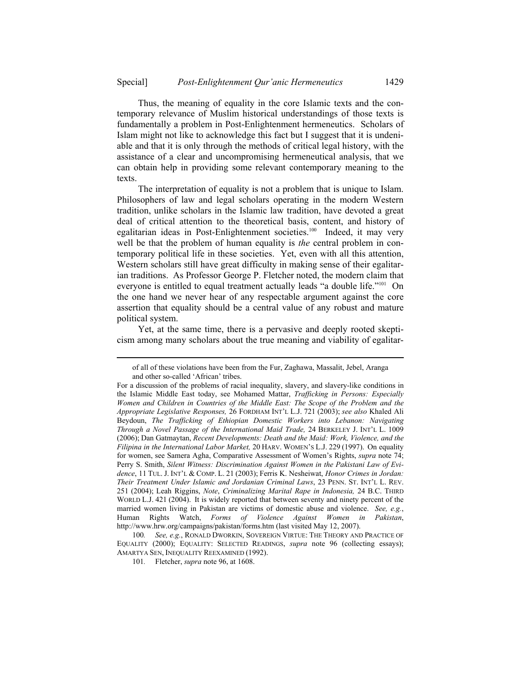Thus, the meaning of equality in the core Islamic texts and the contemporary relevance of Muslim historical understandings of those texts is fundamentally a problem in Post-Enlightenment hermeneutics. Scholars of Islam might not like to acknowledge this fact but I suggest that it is undeniable and that it is only through the methods of critical legal history, with the assistance of a clear and uncompromising hermeneutical analysis, that we can obtain help in providing some relevant contemporary meaning to the texts.

The interpretation of equality is not a problem that is unique to Islam. Philosophers of law and legal scholars operating in the modern Western tradition, unlike scholars in the Islamic law tradition, have devoted a great deal of critical attention to the theoretical basis, content, and history of egalitarian ideas in Post-Enlightenment societies.<sup>100</sup> Indeed, it may very well be that the problem of human equality is *the* central problem in contemporary political life in these societies. Yet, even with all this attention, Western scholars still have great difficulty in making sense of their egalitarian traditions. As Professor George P. Fletcher noted, the modern claim that everyone is entitled to equal treatment actually leads "a double life."101 On the one hand we never hear of any respectable argument against the core assertion that equality should be a central value of any robust and mature political system.

Yet, at the same time, there is a pervasive and deeply rooted skepticism among many scholars about the true meaning and viability of egalitar-

of all of these violations have been from the Fur, Zaghawa, Massalit, Jebel, Aranga and other so-called 'African' tribes.

For a discussion of the problems of racial inequality, slavery, and slavery-like conditions in the Islamic Middle East today, see Mohamed Mattar, *Trafficking in Persons: Especially Women and Children in Countries of the Middle East: The Scope of the Problem and the Appropriate Legislative Responses,* 26 FORDHAM INT'L L.J. 721 (2003); *see also* Khaled Ali Beydoun, *The Trafficking of Ethiopian Domestic Workers into Lebanon: Navigating Through a Novel Passage of the International Maid Trade,* 24 BERKELEY J. INT'L L. 1009 (2006); Dan Gatmaytan, *Recent Developments: Death and the Maid: Work, Violence, and the Filipina in the International Labor Market,* 20 HARV. WOMEN'S L.J. 229 (1997). On equality for women, see Samera Agha, Comparative Assessment of Women's Rights, *supra* note 74; Perry S. Smith, *Silent Witness: Discrimination Against Women in the Pakistani Law of Evidence*, 11 TUL. J. INT'L & COMP. L. 21 (2003); Ferris K. Nesheiwat, *Honor Crimes in Jordan: Their Treatment Under Islamic and Jordanian Criminal Laws*, 23 PENN. ST. INT'L L. REV. 251 (2004); Leah Riggins, *Note*, *Criminalizing Marital Rape in Indonesia,* 24 B.C. THIRD WORLD L.J. 421 (2004). It is widely reported that between seventy and ninety percent of the married women living in Pakistan are victims of domestic abuse and violence. *See, e.g.*, Human Rights Watch, *Forms of Violence Against Women in Pakistan*, http://www.hrw.org/campaigns/pakistan/forms.htm (last visited May 12, 2007).

 <sup>100</sup>*. See, e.g.*, RONALD DWORKIN, SOVEREIGN VIRTUE: THE THEORY AND PRACTICE OF EQUALITY (2000); EQUALITY: SELECTED READINGS, *supra* note 96 (collecting essays); AMARTYA SEN, INEQUALITY REEXAMINED (1992).

 <sup>101</sup>*.* Fletcher, *supra* note 96, at 1608.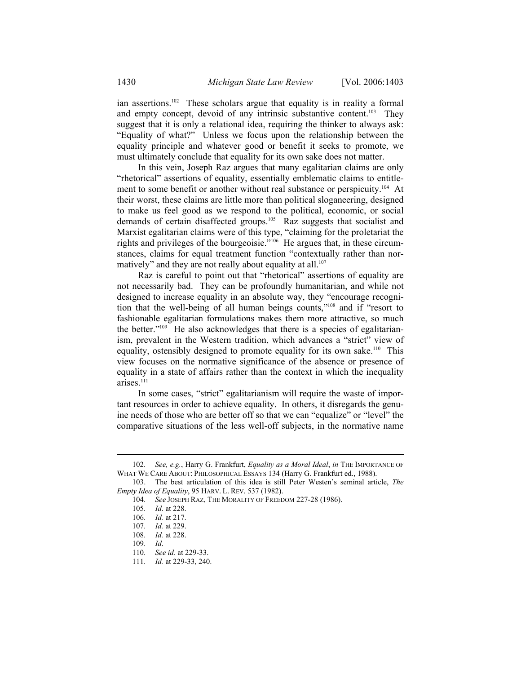ian assertions.<sup>102</sup> These scholars argue that equality is in reality a formal and empty concept, devoid of any intrinsic substantive content.<sup>103</sup> They suggest that it is only a relational idea, requiring the thinker to always ask: "Equality of what?" Unless we focus upon the relationship between the equality principle and whatever good or benefit it seeks to promote, we must ultimately conclude that equality for its own sake does not matter.

In this vein, Joseph Raz argues that many egalitarian claims are only "rhetorical" assertions of equality, essentially emblematic claims to entitlement to some benefit or another without real substance or perspicuity.<sup>104</sup> At their worst, these claims are little more than political sloganeering, designed to make us feel good as we respond to the political, economic, or social demands of certain disaffected groups.<sup>105</sup> Raz suggests that socialist and Marxist egalitarian claims were of this type, "claiming for the proletariat the rights and privileges of the bourgeoisie."106 He argues that, in these circumstances, claims for equal treatment function "contextually rather than normatively" and they are not really about equality at all.<sup>107</sup>

Raz is careful to point out that "rhetorical" assertions of equality are not necessarily bad. They can be profoundly humanitarian, and while not designed to increase equality in an absolute way, they "encourage recognition that the well-being of all human beings counts,"108 and if "resort to fashionable egalitarian formulations makes them more attractive, so much the better."109 He also acknowledges that there is a species of egalitarianism, prevalent in the Western tradition, which advances a "strict" view of equality, ostensibly designed to promote equality for its own sake.<sup>110</sup> This view focuses on the normative significance of the absence or presence of equality in a state of affairs rather than the context in which the inequality arises.111

In some cases, "strict" egalitarianism will require the waste of important resources in order to achieve equality. In others, it disregards the genuine needs of those who are better off so that we can "equalize" or "level" the comparative situations of the less well-off subjects, in the normative name

 <sup>102</sup>*. See, e.g.*, Harry G. Frankfurt, *Equality as a Moral Ideal*, *in* THE IMPORTANCE OF WHAT WE CARE ABOUT: PHILOSOPHICAL ESSAYS 134 (Harry G. Frankfurt ed., 1988).

 <sup>103.</sup> The best articulation of this idea is still Peter Westen's seminal article, *The Empty Idea of Equality*, 95 HARV. L. REV. 537 (1982).

 <sup>104.</sup> *See* JOSEPH RAZ, THE MORALITY OF FREEDOM 227-28 (1986).

 <sup>105</sup>*. Id*. at 228.

 <sup>106</sup>*. Id.* at 217.

<sup>107</sup>*. Id.* at 229.

 <sup>108.</sup> *Id.* at 228.

<sup>109</sup>*. Id*.

 <sup>110</sup>*. See id.* at 229-33.

 <sup>111</sup>*. Id.* at 229-33, 240.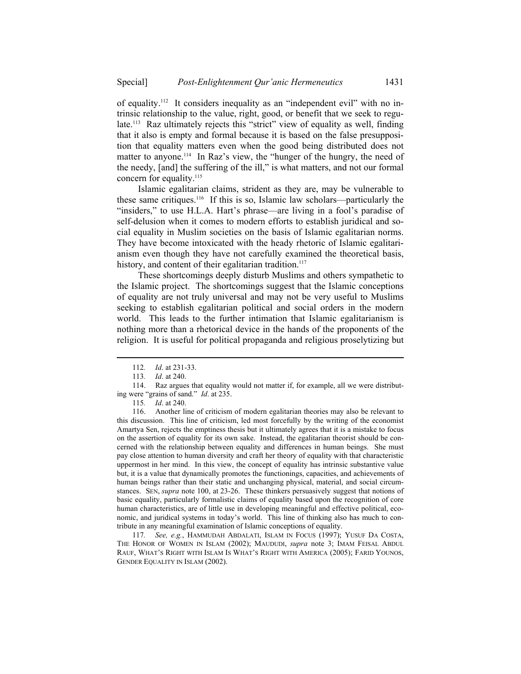of equality.112 It considers inequality as an "independent evil" with no intrinsic relationship to the value, right, good, or benefit that we seek to regulate.113 Raz ultimately rejects this "strict" view of equality as well, finding that it also is empty and formal because it is based on the false presupposition that equality matters even when the good being distributed does not matter to anyone.<sup>114</sup> In Raz's view, the "hunger of the hungry, the need of the needy, [and] the suffering of the ill," is what matters, and not our formal concern for equality.<sup>115</sup>

Islamic egalitarian claims, strident as they are, may be vulnerable to these same critiques.116 If this is so, Islamic law scholars—particularly the "insiders," to use H.L.A. Hart's phrase—are living in a fool's paradise of self-delusion when it comes to modern efforts to establish juridical and social equality in Muslim societies on the basis of Islamic egalitarian norms. They have become intoxicated with the heady rhetoric of Islamic egalitarianism even though they have not carefully examined the theoretical basis, history, and content of their egalitarian tradition.<sup>117</sup>

These shortcomings deeply disturb Muslims and others sympathetic to the Islamic project. The shortcomings suggest that the Islamic conceptions of equality are not truly universal and may not be very useful to Muslims seeking to establish egalitarian political and social orders in the modern world. This leads to the further intimation that Islamic egalitarianism is nothing more than a rhetorical device in the hands of the proponents of the religion. It is useful for political propaganda and religious proselytizing but

l

 116. Another line of criticism of modern egalitarian theories may also be relevant to this discussion. This line of criticism, led most forcefully by the writing of the economist Amartya Sen, rejects the emptiness thesis but it ultimately agrees that it is a mistake to focus on the assertion of equality for its own sake. Instead, the egalitarian theorist should be concerned with the relationship between equality and differences in human beings. She must pay close attention to human diversity and craft her theory of equality with that characteristic uppermost in her mind. In this view, the concept of equality has intrinsic substantive value but, it is a value that dynamically promotes the functionings, capacities, and achievements of human beings rather than their static and unchanging physical, material, and social circumstances. SEN, *supra* note 100, at 23-26. These thinkers persuasively suggest that notions of basic equality, particularly formalistic claims of equality based upon the recognition of core human characteristics, are of little use in developing meaningful and effective political, economic, and juridical systems in today's world. This line of thinking also has much to contribute in any meaningful examination of Islamic conceptions of equality.

 117*. See, e.g.*, HAMMUDAH ABDALATI, ISLAM IN FOCUS (1997); YUSUF DA COSTA, THE HONOR OF WOMEN IN ISLAM (2002); MAUDUDI, *supra* note 3; IMAM FEISAL ABDUL RAUF, WHAT'S RIGHT WITH ISLAM IS WHAT'S RIGHT WITH AMERICA (2005); FARID YOUNOS, GENDER EQUALITY IN ISLAM (2002).

<sup>112</sup>*. Id*. at 231-33.

<sup>113</sup>*. Id*. at 240.

 <sup>114.</sup> Raz argues that equality would not matter if, for example, all we were distributing were "grains of sand." *Id*. at 235.

<sup>115</sup>*. Id*. at 240.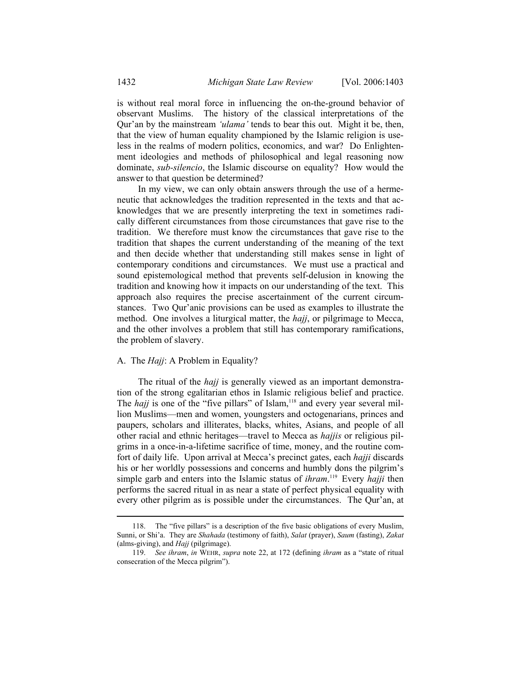is without real moral force in influencing the on-the-ground behavior of observant Muslims. The history of the classical interpretations of the Qur'an by the mainstream *'ulama'* tends to bear this out. Might it be, then, that the view of human equality championed by the Islamic religion is useless in the realms of modern politics, economics, and war? Do Enlightenment ideologies and methods of philosophical and legal reasoning now dominate, *sub-silencio*, the Islamic discourse on equality? How would the answer to that question be determined?

In my view, we can only obtain answers through the use of a hermeneutic that acknowledges the tradition represented in the texts and that acknowledges that we are presently interpreting the text in sometimes radically different circumstances from those circumstances that gave rise to the tradition. We therefore must know the circumstances that gave rise to the tradition that shapes the current understanding of the meaning of the text and then decide whether that understanding still makes sense in light of contemporary conditions and circumstances. We must use a practical and sound epistemological method that prevents self-delusion in knowing the tradition and knowing how it impacts on our understanding of the text. This approach also requires the precise ascertainment of the current circumstances. Two Qur'anic provisions can be used as examples to illustrate the method. One involves a liturgical matter, the *hajj*, or pilgrimage to Mecca, and the other involves a problem that still has contemporary ramifications, the problem of slavery.

## A. The *Hajj*: A Problem in Equality?

The ritual of the *hajj* is generally viewed as an important demonstration of the strong egalitarian ethos in Islamic religious belief and practice. The *hajj* is one of the "five pillars" of Islam,<sup>118</sup> and every year several million Muslims—men and women, youngsters and octogenarians, princes and paupers, scholars and illiterates, blacks, whites, Asians, and people of all other racial and ethnic heritages—travel to Mecca as *hajjis* or religious pilgrims in a once-in-a-lifetime sacrifice of time, money, and the routine comfort of daily life. Upon arrival at Mecca's precinct gates, each *hajji* discards his or her worldly possessions and concerns and humbly dons the pilgrim's simple garb and enters into the Islamic status of *ihram*. 119 Every *hajji* then performs the sacred ritual in as near a state of perfect physical equality with every other pilgrim as is possible under the circumstances. The Qur'an, at

 <sup>118.</sup> The "five pillars" is a description of the five basic obligations of every Muslim, Sunni, or Shi'a. They are *Shahada* (testimony of faith), *Salat* (prayer), *Saum* (fasting), *Zakat* (alms-giving), and *Hajj* (pilgrimage).

 <sup>119.</sup> *See ihram*, *in* WEHR, *supra* note 22, at 172 (defining *ihram* as a "state of ritual consecration of the Mecca pilgrim").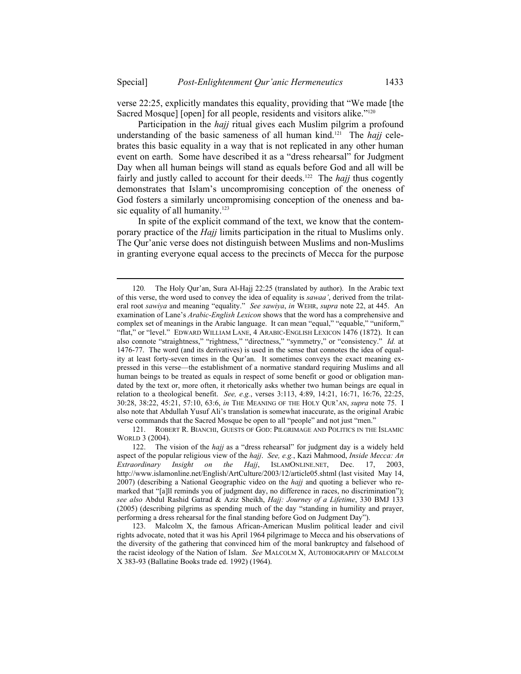verse 22:25, explicitly mandates this equality, providing that "We made [the Sacred Mosque] [open] for all people, residents and visitors alike."<sup>120</sup>

Participation in the *hajj* ritual gives each Muslim pilgrim a profound understanding of the basic sameness of all human kind.<sup>121</sup> The *hajj* celebrates this basic equality in a way that is not replicated in any other human event on earth. Some have described it as a "dress rehearsal" for Judgment Day when all human beings will stand as equals before God and all will be fairly and justly called to account for their deeds.<sup>122</sup> The *hajj* thus cogently demonstrates that Islam's uncompromising conception of the oneness of God fosters a similarly uncompromising conception of the oneness and basic equality of all humanity.<sup>123</sup>

In spite of the explicit command of the text, we know that the contemporary practice of the *Hajj* limits participation in the ritual to Muslims only. The Qur'anic verse does not distinguish between Muslims and non-Muslims in granting everyone equal access to the precincts of Mecca for the purpose

l

 121. ROBERT R. BIANCHI, GUESTS OF GOD: PILGRIMAGE AND POLITICS IN THE ISLAMIC WORLD 3 (2004).

<sup>120</sup>*.* The Holy Qur'an, Sura Al-Hajj 22:25 (translated by author). In the Arabic text of this verse, the word used to convey the idea of equality is *sawaa'*, derived from the trilateral root *sawiya* and meaning "equality." *See sawiya*, *in* WEHR, *supra* note 22, at 445. An examination of Lane's *Arabic-English Lexicon* shows that the word has a comprehensive and complex set of meanings in the Arabic language. It can mean "equal," "equable," "uniform," "flat," or "level." EDWARD WILLIAM LANE, 4 ARABIC-ENGLISH LEXICON 1476 (1872). It can also connote "straightness," "rightness," "directness," "symmetry," or "consistency." *Id.* at 1476-77. The word (and its derivatives) is used in the sense that connotes the idea of equality at least forty-seven times in the Qur'an. It sometimes conveys the exact meaning expressed in this verse—the establishment of a normative standard requiring Muslims and all human beings to be treated as equals in respect of some benefit or good or obligation mandated by the text or, more often, it rhetorically asks whether two human beings are equal in relation to a theological benefit. *See, e.g.*, verses 3:113, 4:89, 14:21, 16:71, 16:76, 22:25, 30:28, 38:22, 45:21, 57:10, 63:6, *in* THE MEANING OF THE HOLY QUR'AN, *supra* note 75. I also note that Abdullah Yusuf Ali's translation is somewhat inaccurate, as the original Arabic verse commands that the Sacred Mosque be open to all "people" and not just "men."

 <sup>122.</sup> The vision of the *hajj* as a "dress rehearsal" for judgment day is a widely held aspect of the popular religious view of the *hajj*. *See, e.g.*, Kazi Mahmood, *Inside Mecca: An Extraordinary Insight on the Hajj*, ISLAMONLINE.NET, Dec. 17, 2003, http://www.islamonline.net/English/ArtCulture/2003/12/article05.shtml (last visited May 14, 2007) (describing a National Geographic video on the *hajj* and quoting a believer who remarked that "[a]ll reminds you of judgment day, no difference in races, no discrimination"); *see also* Abdul Rashid Gatrad & Aziz Sheikh, *Hajj: Journey of a Lifetime*, 330 BMJ 133 (2005) (describing pilgrims as spending much of the day "standing in humility and prayer, performing a dress rehearsal for the final standing before God on Judgment Day").

 <sup>123.</sup> Malcolm X, the famous African-American Muslim political leader and civil rights advocate, noted that it was his April 1964 pilgrimage to Mecca and his observations of the diversity of the gathering that convinced him of the moral bankruptcy and falsehood of the racist ideology of the Nation of Islam. *See* MALCOLM X, AUTOBIOGRAPHY OF MALCOLM X 383-93 (Ballatine Books trade ed. 1992) (1964).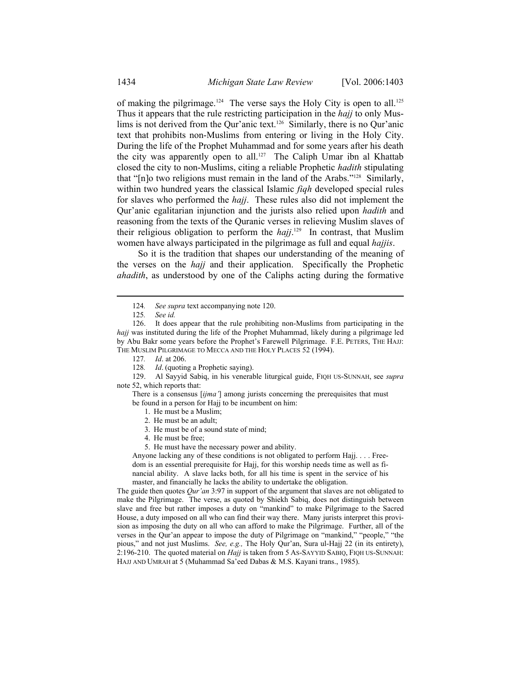of making the pilgrimage.<sup>124</sup> The verse says the Holy City is open to all.<sup>125</sup> Thus it appears that the rule restricting participation in the *hajj* to only Muslims is not derived from the Qur'anic text.<sup>126</sup> Similarly, there is no Qur'anic text that prohibits non-Muslims from entering or living in the Holy City. During the life of the Prophet Muhammad and for some years after his death the city was apparently open to all.<sup>127</sup> The Caliph Umar ibn al Khattab closed the city to non-Muslims, citing a reliable Prophetic *hadith* stipulating that "[n]o two religions must remain in the land of the Arabs."128 Similarly, within two hundred years the classical Islamic *fiqh* developed special rules for slaves who performed the *hajj*. These rules also did not implement the Qur'anic egalitarian injunction and the jurists also relied upon *hadith* and reasoning from the texts of the Quranic verses in relieving Muslim slaves of their religious obligation to perform the *hajj*. 129 In contrast, that Muslim women have always participated in the pilgrimage as full and equal *hajjis*.

So it is the tradition that shapes our understanding of the meaning of the verses on the *hajj* and their application. Specifically the Prophetic *ahadith*, as understood by one of the Caliphs acting during the formative

l

 129. Al Sayyid Sabiq, in his venerable liturgical guide, FIQH US-SUNNAH, see *supra* note 52, which reports that:

There is a consensus [*ijma'*] among jurists concerning the prerequisites that must be found in a person for Hajj to be incumbent on him:

- 1. He must be a Muslim;
- 2. He must be an adult;
- 3. He must be of a sound state of mind;
- 4. He must be free;
- 5. He must have the necessary power and ability.

Anyone lacking any of these conditions is not obligated to perform Hajj. . . . Freedom is an essential prerequisite for Hajj, for this worship needs time as well as financial ability. A slave lacks both, for all his time is spent in the service of his master, and financially he lacks the ability to undertake the obligation.

The guide then quotes *Qur'an* 3:97 in support of the argument that slaves are not obligated to make the Pilgrimage. The verse, as quoted by Shiekh Sabiq, does not distinguish between slave and free but rather imposes a duty on "mankind" to make Pilgrimage to the Sacred House, a duty imposed on all who can find their way there. Many jurists interpret this provision as imposing the duty on all who can afford to make the Pilgrimage. Further, all of the verses in the Qur'an appear to impose the duty of Pilgrimage on "mankind," "people," "the pious," and not just Muslims. *See, e.g.,* The Holy Qur'an, Sura ul-Hajj 22 (in its entirety), 2:196-210. The quoted material on *Hajj* is taken from 5 AS-SAYYID SABIQ, FIQH US-SUNNAH: HAJJ AND UMRAH at 5 (Muhammad Sa'eed Dabas & M.S. Kayani trans., 1985).

 <sup>124</sup>*. See supra* text accompanying note 120.

 <sup>125</sup>*. See id.*

 <sup>126.</sup> It does appear that the rule prohibiting non-Muslims from participating in the *hajj* was instituted during the life of the Prophet Muhammad, likely during a pilgrimage led by Abu Bakr some years before the Prophet's Farewell Pilgrimage. F.E. PETERS, THE HAJJ: THE MUSLIM PILGRIMAGE TO MECCA AND THE HOLY PLACES 52 (1994).

 <sup>127</sup>*. Id*. at 206.

 <sup>128</sup>*. Id*. (quoting a Prophetic saying).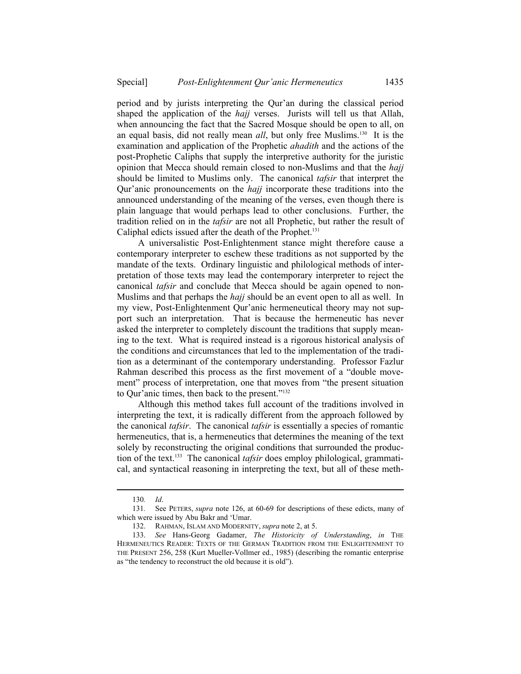period and by jurists interpreting the Qur'an during the classical period shaped the application of the *hajj* verses. Jurists will tell us that Allah, when announcing the fact that the Sacred Mosque should be open to all, on an equal basis, did not really mean *all*, but only free Muslims.130 It is the examination and application of the Prophetic *ahadith* and the actions of the post-Prophetic Caliphs that supply the interpretive authority for the juristic opinion that Mecca should remain closed to non-Muslims and that the *hajj*  should be limited to Muslims only. The canonical *tafsir* that interpret the Qur'anic pronouncements on the *hajj* incorporate these traditions into the announced understanding of the meaning of the verses, even though there is plain language that would perhaps lead to other conclusions. Further, the tradition relied on in the *tafsir* are not all Prophetic, but rather the result of Caliphal edicts issued after the death of the Prophet.<sup>131</sup>

A universalistic Post-Enlightenment stance might therefore cause a contemporary interpreter to eschew these traditions as not supported by the mandate of the texts. Ordinary linguistic and philological methods of interpretation of those texts may lead the contemporary interpreter to reject the canonical *tafsir* and conclude that Mecca should be again opened to non-Muslims and that perhaps the *hajj* should be an event open to all as well. In my view, Post-Enlightenment Qur'anic hermeneutical theory may not support such an interpretation. That is because the hermeneutic has never asked the interpreter to completely discount the traditions that supply meaning to the text. What is required instead is a rigorous historical analysis of the conditions and circumstances that led to the implementation of the tradition as a determinant of the contemporary understanding. Professor Fazlur Rahman described this process as the first movement of a "double movement" process of interpretation, one that moves from "the present situation to Qur'anic times, then back to the present."132

Although this method takes full account of the traditions involved in interpreting the text, it is radically different from the approach followed by the canonical *tafsir*. The canonical *tafsir* is essentially a species of romantic hermeneutics, that is, a hermeneutics that determines the meaning of the text solely by reconstructing the original conditions that surrounded the production of the text.<sup>133</sup> The canonical *tafsir* does employ philological, grammatical, and syntactical reasoning in interpreting the text, but all of these meth-

 <sup>130</sup>*. Id*.

 <sup>131</sup>*.* See PETERS, *supra* note 126, at 60-69 for descriptions of these edicts, many of which were issued by Abu Bakr and 'Umar.

 <sup>132.</sup> RAHMAN, ISLAM AND MODERNITY, *supra* note 2, at 5.

 <sup>133.</sup> *See* Hans-Georg Gadamer, *The Historicity of Understanding*, *in* THE HERMENEUTICS READER: TEXTS OF THE GERMAN TRADITION FROM THE ENLIGHTENMENT TO THE PRESENT 256, 258 (Kurt Mueller-Vollmer ed., 1985) (describing the romantic enterprise as "the tendency to reconstruct the old because it is old").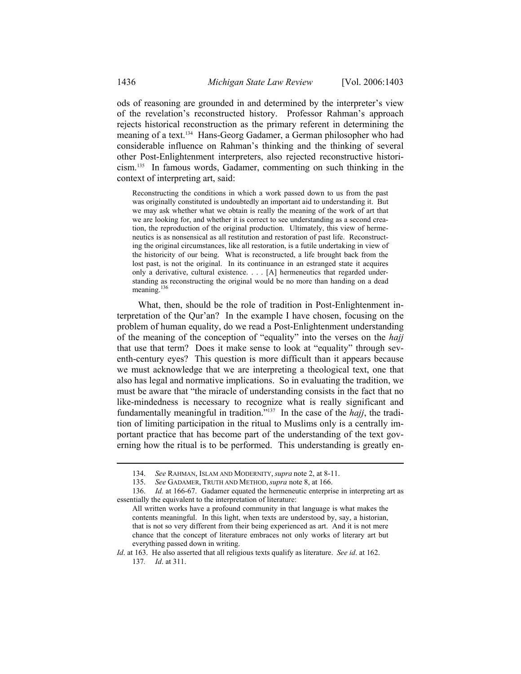ods of reasoning are grounded in and determined by the interpreter's view of the revelation's reconstructed history. Professor Rahman's approach rejects historical reconstruction as the primary referent in determining the meaning of a text.134 Hans-Georg Gadamer, a German philosopher who had considerable influence on Rahman's thinking and the thinking of several other Post-Enlightenment interpreters, also rejected reconstructive historicism.135 In famous words, Gadamer, commenting on such thinking in the context of interpreting art, said:

Reconstructing the conditions in which a work passed down to us from the past was originally constituted is undoubtedly an important aid to understanding it. But we may ask whether what we obtain is really the meaning of the work of art that we are looking for, and whether it is correct to see understanding as a second creation, the reproduction of the original production. Ultimately, this view of hermeneutics is as nonsensical as all restitution and restoration of past life. Reconstructing the original circumstances, like all restoration, is a futile undertaking in view of the historicity of our being. What is reconstructed, a life brought back from the lost past, is not the original. In its continuance in an estranged state it acquires only a derivative, cultural existence. . . . [A] hermeneutics that regarded understanding as reconstructing the original would be no more than handing on a dead meaning.<sup>136</sup>

What, then, should be the role of tradition in Post-Enlightenment interpretation of the Qur'an? In the example I have chosen, focusing on the problem of human equality, do we read a Post-Enlightenment understanding of the meaning of the conception of "equality" into the verses on the *hajj* that use that term? Does it make sense to look at "equality" through seventh-century eyes? This question is more difficult than it appears because we must acknowledge that we are interpreting a theological text, one that also has legal and normative implications. So in evaluating the tradition, we must be aware that "the miracle of understanding consists in the fact that no like-mindedness is necessary to recognize what is really significant and fundamentally meaningful in tradition."137 In the case of the *hajj*, the tradition of limiting participation in the ritual to Muslims only is a centrally important practice that has become part of the understanding of the text governing how the ritual is to be performed. This understanding is greatly en-

 <sup>134.</sup> *See* RAHMAN, ISLAM AND MODERNITY, *supra* note 2, at 8-11.

 <sup>135.</sup> *See* GADAMER, TRUTH AND METHOD, *supra* note 8, at 166.

 <sup>136.</sup> *Id.* at 166-67. Gadamer equated the hermeneutic enterprise in interpreting art as essentially the equivalent to the interpretation of literature:

All written works have a profound community in that language is what makes the contents meaningful. In this light, when texts are understood by, say, a historian, that is not so very different from their being experienced as art. And it is not mere chance that the concept of literature embraces not only works of literary art but everything passed down in writing.

*Id*. at 163. He also asserted that all religious texts qualify as literature. *See id*. at 162. 137*. Id*. at 311.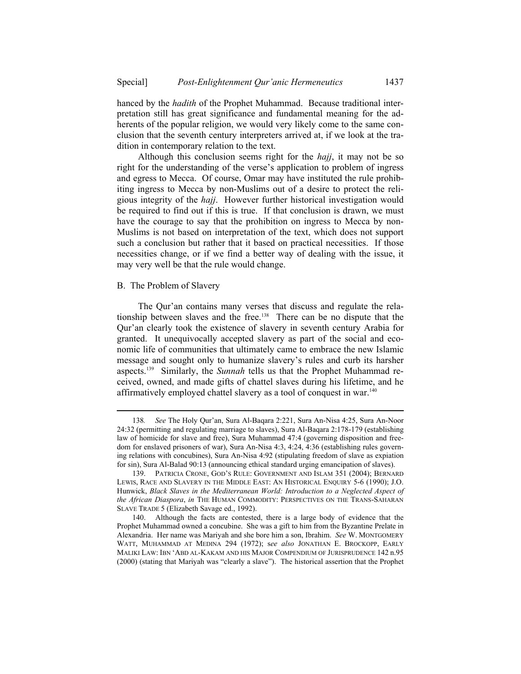hanced by the *hadith* of the Prophet Muhammad. Because traditional interpretation still has great significance and fundamental meaning for the adherents of the popular religion, we would very likely come to the same conclusion that the seventh century interpreters arrived at, if we look at the tradition in contemporary relation to the text.

Although this conclusion seems right for the *hajj*, it may not be so right for the understanding of the verse's application to problem of ingress and egress to Mecca. Of course, Omar may have instituted the rule prohibiting ingress to Mecca by non-Muslims out of a desire to protect the religious integrity of the *hajj*. However further historical investigation would be required to find out if this is true. If that conclusion is drawn, we must have the courage to say that the prohibition on ingress to Mecca by non-Muslims is not based on interpretation of the text, which does not support such a conclusion but rather that it based on practical necessities. If those necessities change, or if we find a better way of dealing with the issue, it may very well be that the rule would change.

## B. The Problem of Slavery

l

The Qur'an contains many verses that discuss and regulate the relationship between slaves and the free.138 There can be no dispute that the Qur'an clearly took the existence of slavery in seventh century Arabia for granted. It unequivocally accepted slavery as part of the social and economic life of communities that ultimately came to embrace the new Islamic message and sought only to humanize slavery's rules and curb its harsher aspects.139 Similarly, the *Sunnah* tells us that the Prophet Muhammad received, owned, and made gifts of chattel slaves during his lifetime, and he affirmatively employed chattel slavery as a tool of conquest in war.<sup>140</sup>

 <sup>138</sup>*. See* The Holy Qur'an, Sura Al-Baqara 2:221, Sura An-Nisa 4:25, Sura An-Noor 24:32 (permitting and regulating marriage to slaves), Sura Al-Baqara 2:178-179 (establishing law of homicide for slave and free), Sura Muhammad 47:4 (governing disposition and freedom for enslaved prisoners of war), Sura An-Nisa 4:3, 4:24, 4:36 (establishing rules governing relations with concubines), Sura An-Nisa 4:92 (stipulating freedom of slave as expiation for sin), Sura Al-Balad 90:13 (announcing ethical standard urging emancipation of slaves).

 <sup>139.</sup> PATRICIA CRONE, GOD'S RULE: GOVERNMENT AND ISLAM 351 (2004); BERNARD LEWIS, RACE AND SLAVERY IN THE MIDDLE EAST: AN HISTORICAL ENQUIRY 5-6 (1990); J.O. Hunwick, *Black Slaves in the Mediterranean World: Introduction to a Neglected Aspect of the African Diaspora*, *in* THE HUMAN COMMODITY: PERSPECTIVES ON THE TRANS-SAHARAN SLAVE TRADE 5 (Elizabeth Savage ed., 1992).

 <sup>140.</sup> Although the facts are contested, there is a large body of evidence that the Prophet Muhammad owned a concubine. She was a gift to him from the Byzantine Prelate in Alexandria. Her name was Mariyah and she bore him a son, Ibrahim. *See* W. MONTGOMERY WATT, MUHAMMAD AT MEDINA 294 (1972); s*ee also* JONATHAN E. BROCKOPP, EARLY MALIKI LAW: IBN 'ABD AL-KAKAM AND HIS MAJOR COMPENDIUM OF JURISPRUDENCE 142 n.95 (2000) (stating that Mariyah was "clearly a slave").The historical assertion that the Prophet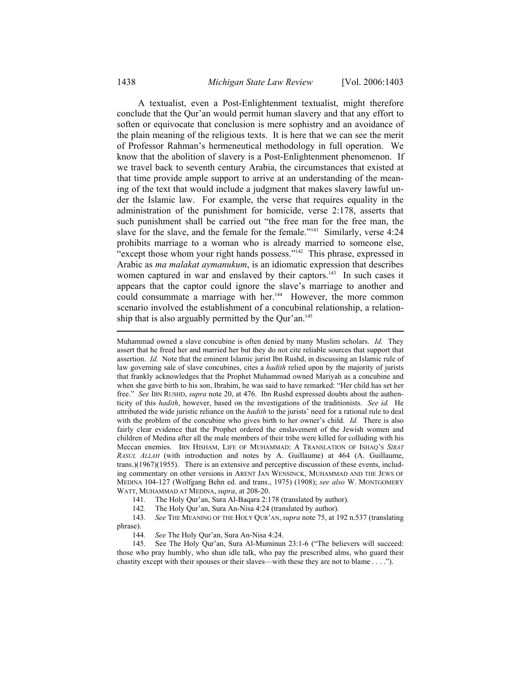A textualist, even a Post-Enlightenment textualist, might therefore conclude that the Qur'an would permit human slavery and that any effort to soften or equivocate that conclusion is mere sophistry and an avoidance of the plain meaning of the religious texts. It is here that we can see the merit of Professor Rahman's hermeneutical methodology in full operation. We know that the abolition of slavery is a Post-Enlightenment phenomenon. If we travel back to seventh century Arabia, the circumstances that existed at that time provide ample support to arrive at an understanding of the meaning of the text that would include a judgment that makes slavery lawful under the Islamic law. For example, the verse that requires equality in the administration of the punishment for homicide, verse 2:178, asserts that such punishment shall be carried out "the free man for the free man, the slave for the slave, and the female for the female."<sup>141</sup> Similarly, verse 4:24 prohibits marriage to a woman who is already married to someone else, "except those whom your right hands possess." $142$  This phrase, expressed in Arabic as *ma malakat aymanukum*, is an idiomatic expression that describes women captured in war and enslaved by their captors.<sup>143</sup> In such cases it appears that the captor could ignore the slave's marriage to another and could consummate a marriage with her.<sup>144</sup> However, the more common scenario involved the establishment of a concubinal relationship, a relationship that is also arguably permitted by the Qur'an.<sup>145</sup> l

Muhammad owned a slave concubine is often denied by many Muslim scholars. *Id.* They assert that he freed her and married her but they do not cite reliable sources that support that assertion. *Id.* Note that the eminent Islamic jurist Ibn Rushd, in discussing an Islamic rule of law governing sale of slave concubines, cites a *hadith* relied upon by the majority of jurists that frankly acknowledges that the Prophet Muhammad owned Mariyah as a concubine and when she gave birth to his son, Ibrahim, he was said to have remarked: "Her child has set her free." *See* IBN RUSHD, *supra* note 20, at 476. Ibn Rushd expressed doubts about the authenticity of this *hadith*, however, based on the investigations of the traditionists. *See id.* He attributed the wide juristic reliance on the *hadith* to the jurists' need for a rational rule to deal with the problem of the concubine who gives birth to her owner's child. *Id.* There is also fairly clear evidence that the Prophet ordered the enslavement of the Jewish women and children of Medina after all the male members of their tribe were killed for colluding with his Meccan enemies. IBN HISHAM, LIFE OF MUHAMMAD: A TRANSLATION OF ISHAQ'S *SIRAT RASUL ALLAH* (with introduction and notes by A. Guillaume) at 464 (A. Guillaume, trans.)(1967)(1955). There is an extensive and perceptive discussion of these events, including commentary on other versions in ARENT JAN WENSINCK, MUHAMMAD AND THE JEWS OF MEDINA 104-127 (Wolfgang Behn ed. and trans., 1975) (1908); *see also* W. MONTGOMERY WATT, MUHAMMAD AT MEDINA, *supra*, at 208-20.

- 141*.* The Holy Qur'an, Sura Al-Baqara 2:178 (translated by author).
- 142*.* The Holy Qur'an, Sura An-Nisa 4:24 (translated by author).

 143*. See* THE MEANING OF THE HOLY QUR'AN, *supra* note 75, at 192 n.537 (translating phrase).

144*. See* The Holy Qur'an, Sura An-Nisa 4:24.

 145. See The Holy Qur'an, Sura Al-Muminun 23:1-6 ("The believers will succeed: those who pray humbly, who shun idle talk, who pay the prescribed alms, who guard their chastity except with their spouses or their slaves—with these they are not to blame . . . .").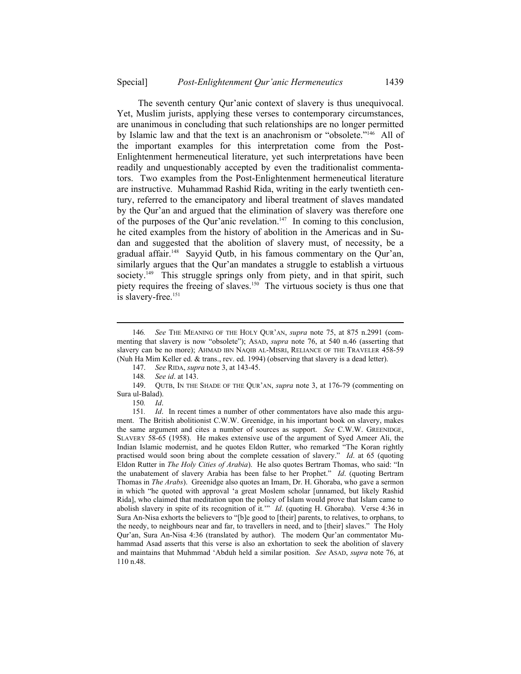The seventh century Qur'anic context of slavery is thus unequivocal. Yet, Muslim jurists, applying these verses to contemporary circumstances, are unanimous in concluding that such relationships are no longer permitted by Islamic law and that the text is an anachronism or "obsolete."<sup>146</sup> All of the important examples for this interpretation come from the Post-Enlightenment hermeneutical literature, yet such interpretations have been readily and unquestionably accepted by even the traditionalist commentators. Two examples from the Post-Enlightenment hermeneutical literature are instructive. Muhammad Rashid Rida, writing in the early twentieth century, referred to the emancipatory and liberal treatment of slaves mandated by the Qur'an and argued that the elimination of slavery was therefore one of the purposes of the Our'anic revelation.<sup>147</sup> In coming to this conclusion, he cited examples from the history of abolition in the Americas and in Sudan and suggested that the abolition of slavery must, of necessity, be a gradual affair.<sup>148</sup> Sayyid Outb, in his famous commentary on the Our'an, similarly argues that the Qur'an mandates a struggle to establish a virtuous society.<sup>149</sup> This struggle springs only from piety, and in that spirit, such piety requires the freeing of slaves.150 The virtuous society is thus one that is slavery-free.<sup>151</sup>

147. *See* RIDA, *supra* note 3, at 143-45.

148*. See id*. at 143.

 149. QUTB, IN THE SHADE OF THE QUR'AN, *supra* note 3, at 176-79 (commenting on Sura ul-Balad).

150*. Id*.

 <sup>146</sup>*. See* THE MEANING OF THE HOLY QUR'AN, *supra* note 75, at 875 n.2991 (commenting that slavery is now "obsolete"); ASAD, *supra* note 76, at 540 n.46 (asserting that slavery can be no more); AHMAD IBN NAQIB AL-MISRI, RELIANCE OF THE TRAVELER 458-59 (Nuh Ha Mim Keller ed. & trans., rev. ed. 1994) (observing that slavery is a dead letter).

 <sup>151</sup>*. Id*. In recent times a number of other commentators have also made this argument. The British abolitionist C.W.W. Greenidge, in his important book on slavery, makes the same argument and cites a number of sources as support. *See* C.W.W. GREENIDGE, SLAVERY 58-65 (1958). He makes extensive use of the argument of Syed Ameer Ali, the Indian Islamic modernist, and he quotes Eldon Rutter, who remarked "The Koran rightly practised would soon bring about the complete cessation of slavery." *Id*. at 65 (quoting Eldon Rutter in *The Holy Cities of Arabia*). He also quotes Bertram Thomas, who said: "In the unabatement of slavery Arabia has been false to her Prophet." *Id*. (quoting Bertram Thomas in *The Arabs*). Greenidge also quotes an Imam, Dr. H. Ghoraba, who gave a sermon in which "he quoted with approval 'a great Moslem scholar [unnamed, but likely Rashid Rida], who claimed that meditation upon the policy of Islam would prove that Islam came to abolish slavery in spite of its recognition of it.'" *Id*. (quoting H. Ghoraba). Verse 4:36 in Sura An-Nisa exhorts the believers to "[b]e good to [their] parents, to relatives, to orphans, to the needy, to neighbours near and far, to travellers in need, and to [their] slaves." The Holy Qur'an, Sura An-Nisa 4:36 (translated by author). The modern Qur'an commentator Muhammad Asad asserts that this verse is also an exhortation to seek the abolition of slavery and maintains that Muhmmad 'Abduh held a similar position. *See* ASAD, *supra* note 76, at 110 n.48.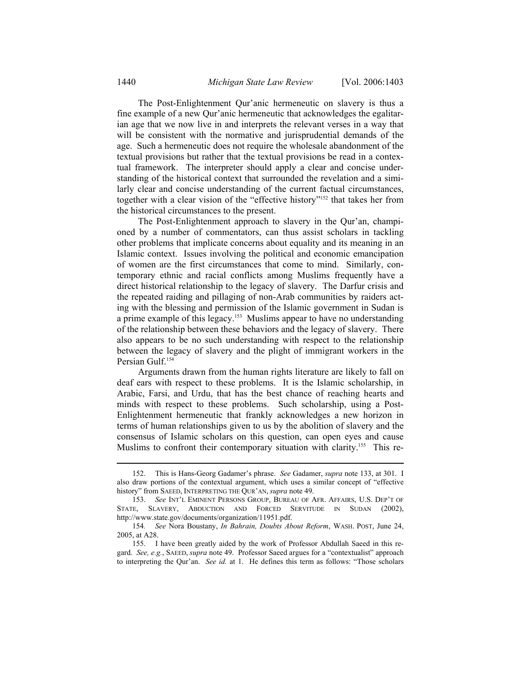The Post-Enlightenment Qur'anic hermeneutic on slavery is thus a fine example of a new Qur'anic hermeneutic that acknowledges the egalitarian age that we now live in and interprets the relevant verses in a way that will be consistent with the normative and jurisprudential demands of the age. Such a hermeneutic does not require the wholesale abandonment of the textual provisions but rather that the textual provisions be read in a contextual framework. The interpreter should apply a clear and concise understanding of the historical context that surrounded the revelation and a similarly clear and concise understanding of the current factual circumstances, together with a clear vision of the "effective history"152 that takes her from the historical circumstances to the present.

The Post-Enlightenment approach to slavery in the Qur'an, championed by a number of commentators, can thus assist scholars in tackling other problems that implicate concerns about equality and its meaning in an Islamic context. Issues involving the political and economic emancipation of women are the first circumstances that come to mind. Similarly, contemporary ethnic and racial conflicts among Muslims frequently have a direct historical relationship to the legacy of slavery. The Darfur crisis and the repeated raiding and pillaging of non-Arab communities by raiders acting with the blessing and permission of the Islamic government in Sudan is a prime example of this legacy.153 Muslims appear to have no understanding of the relationship between these behaviors and the legacy of slavery. There also appears to be no such understanding with respect to the relationship between the legacy of slavery and the plight of immigrant workers in the Persian Gulf.<sup>154</sup>

Arguments drawn from the human rights literature are likely to fall on deaf ears with respect to these problems. It is the Islamic scholarship, in Arabic, Farsi, and Urdu, that has the best chance of reaching hearts and minds with respect to these problems. Such scholarship, using a Post-Enlightenment hermeneutic that frankly acknowledges a new horizon in terms of human relationships given to us by the abolition of slavery and the consensus of Islamic scholars on this question, can open eyes and cause Muslims to confront their contemporary situation with clarity.<sup>155</sup> This re-

 <sup>152.</sup> This is Hans-Georg Gadamer's phrase. *See* Gadamer, *supra* note 133, at 301. I also draw portions of the contextual argument, which uses a similar concept of "effective history" from SAEED, INTERPRETING THE QUR'AN, *supra* note 49.

 <sup>153.</sup> *See* INT'L EMINENT PERSONS GROUP, BUREAU OF AFR. AFFAIRS, U.S. DEP'T OF STATE, SLAVERY, ABDUCTION AND FORCED SERVITUDE IN SUDAN (2002), http://www.state.gov/documents/organization/11951.pdf.

 <sup>154</sup>*. See* Nora Boustany, *In Bahrain, Doubts About Reform*, WASH. POST, June 24, 2005, at A28.

 <sup>155.</sup> I have been greatly aided by the work of Professor Abdullah Saeed in this regard. *See, e.g.*, SAEED, *supra* note 49. Professor Saeed argues for a "contextualist" approach to interpreting the Qur'an. *See id.* at 1. He defines this term as follows: "Those scholars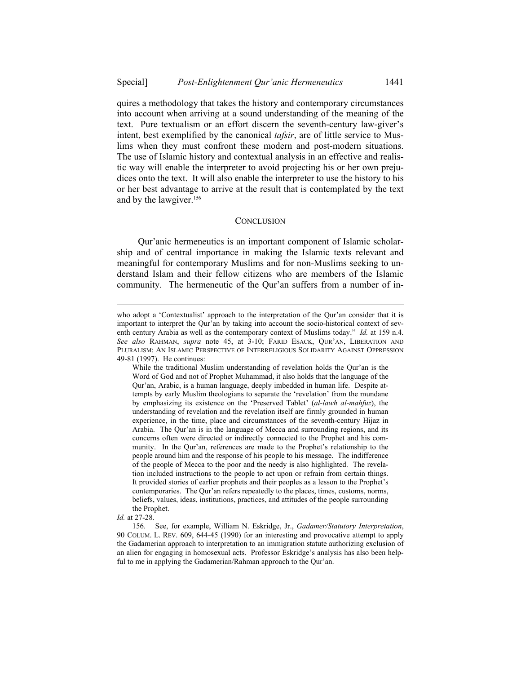quires a methodology that takes the history and contemporary circumstances into account when arriving at a sound understanding of the meaning of the text. Pure textualism or an effort discern the seventh-century law-giver's intent, best exemplified by the canonical *tafsir*, are of little service to Muslims when they must confront these modern and post-modern situations. The use of Islamic history and contextual analysis in an effective and realistic way will enable the interpreter to avoid projecting his or her own prejudices onto the text. It will also enable the interpreter to use the history to his or her best advantage to arrive at the result that is contemplated by the text and by the lawgiver.<sup>156</sup>

#### **CONCLUSION**

Qur'anic hermeneutics is an important component of Islamic scholarship and of central importance in making the Islamic texts relevant and meaningful for contemporary Muslims and for non-Muslims seeking to understand Islam and their fellow citizens who are members of the Islamic community. The hermeneutic of the Qur'an suffers from a number of in-

who adopt a 'Contextualist' approach to the interpretation of the Qur'an consider that it is important to interpret the Qur'an by taking into account the socio-historical context of seventh century Arabia as well as the contemporary context of Muslims today." *Id.* at 159 n.4. *See also* RAHMAN, *supra* note 45, at 3-10; FARID ESACK, QUR'AN, LIBERATION AND PLURALISM: AN ISLAMIC PERSPECTIVE OF INTERRELIGIOUS SOLIDARITY AGAINST OPPRESSION 49-81 (1997). He continues:

While the traditional Muslim understanding of revelation holds the Qur'an is the Word of God and not of Prophet Muhammad, it also holds that the language of the Qur'an, Arabic, is a human language, deeply imbedded in human life. Despite attempts by early Muslim theologians to separate the 'revelation' from the mundane by emphasizing its existence on the 'Preserved Tablet' (*al-lawh al-mahfuz*), the understanding of revelation and the revelation itself are firmly grounded in human experience, in the time, place and circumstances of the seventh-century Hijaz in Arabia. The Qur'an is in the language of Mecca and surrounding regions, and its concerns often were directed or indirectly connected to the Prophet and his community. In the Qur'an, references are made to the Prophet's relationship to the people around him and the response of his people to his message. The indifference of the people of Mecca to the poor and the needy is also highlighted. The revelation included instructions to the people to act upon or refrain from certain things. It provided stories of earlier prophets and their peoples as a lesson to the Prophet's contemporaries. The Qur'an refers repeatedly to the places, times, customs, norms, beliefs, values, ideas, institutions, practices, and attitudes of the people surrounding the Prophet.

*Id.* at 27-28.

 <sup>156.</sup> See, for example, William N. Eskridge, Jr., *Gadamer/Statutory Interpretation*, 90 COLUM. L. REV. 609, 644-45 (1990) for an interesting and provocative attempt to apply the Gadamerian approach to interpretation to an immigration statute authorizing exclusion of an alien for engaging in homosexual acts. Professor Eskridge's analysis has also been helpful to me in applying the Gadamerian/Rahman approach to the Qur'an.